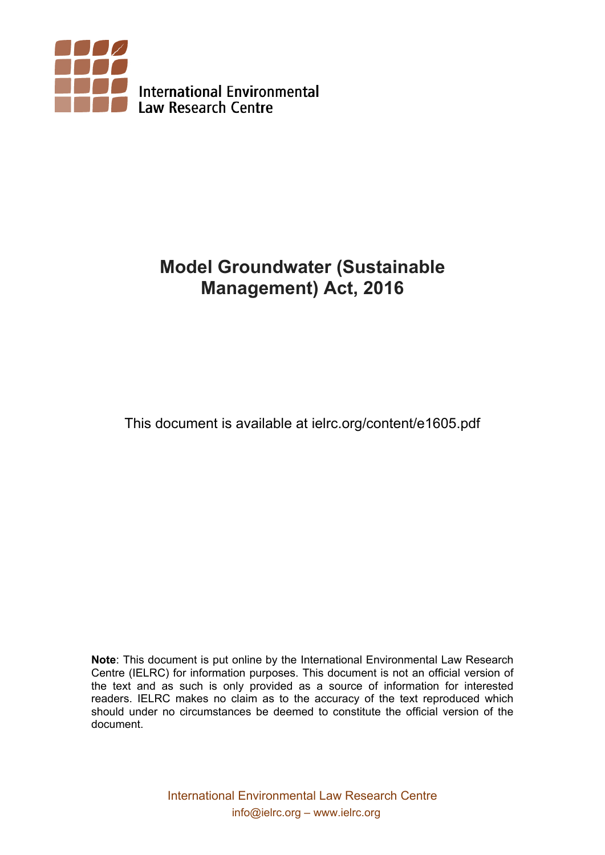

# **Model Groundwater (Sustainable Management) Act, 2016**

This document is available at ielrc.org/content/e1605.pdf

**Note**: This document is put online by the International Environmental Law Research Centre (IELRC) for information purposes. This document is not an official version of the text and as such is only provided as a source of information for interested readers. IELRC makes no claim as to the accuracy of the text reproduced which should under no circumstances be deemed to constitute the official version of the document.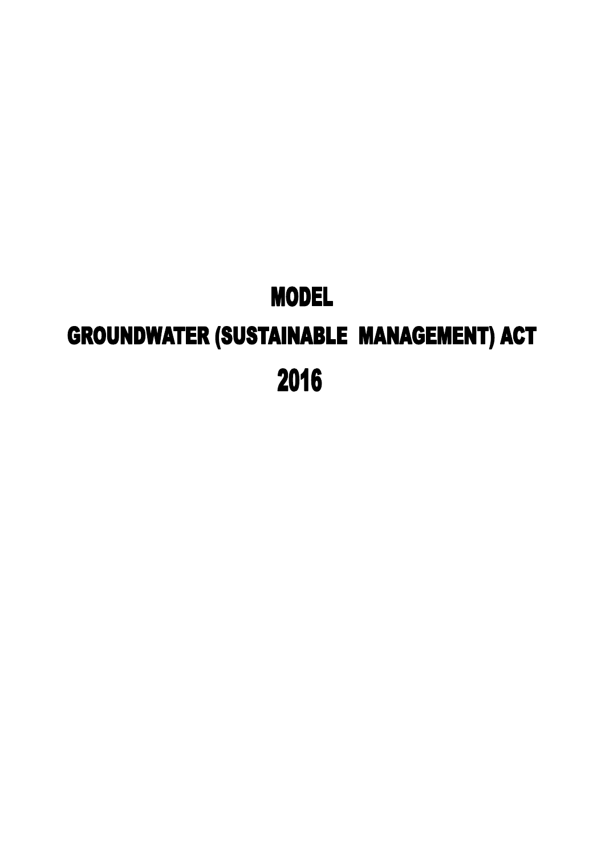# **MODEL GROUNDWATER (SUSTAINABLE MANAGEMENT) ACT** 2016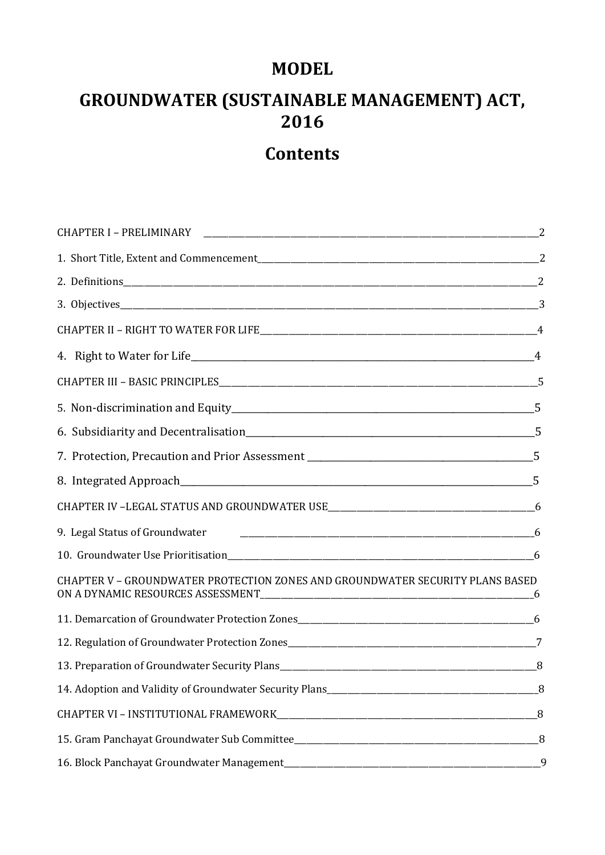# **MODEL**

# **GROUNDWATER (SUSTAINABLE MANAGEMENT) ACT, 2016**

# **Contents**

| <b>CHAPTER I - PRELIMINARY</b>                                                    |                |
|-----------------------------------------------------------------------------------|----------------|
|                                                                                   |                |
|                                                                                   |                |
|                                                                                   |                |
|                                                                                   |                |
|                                                                                   |                |
|                                                                                   |                |
|                                                                                   | 5              |
|                                                                                   |                |
|                                                                                   |                |
|                                                                                   | 5              |
|                                                                                   |                |
|                                                                                   | $\overline{6}$ |
|                                                                                   | -6             |
| CHAPTER V - GROUNDWATER PROTECTION ZONES AND GROUNDWATER SECURITY PLANS BASED     | $\mathfrak b$  |
|                                                                                   |                |
| 12. Regulation of Groundwater Protection Zones___________________________________ |                |
|                                                                                   | -8             |
|                                                                                   | $-8$           |
|                                                                                   | $_{\rm 8}$     |
|                                                                                   | $_{-8}$        |
|                                                                                   | 9              |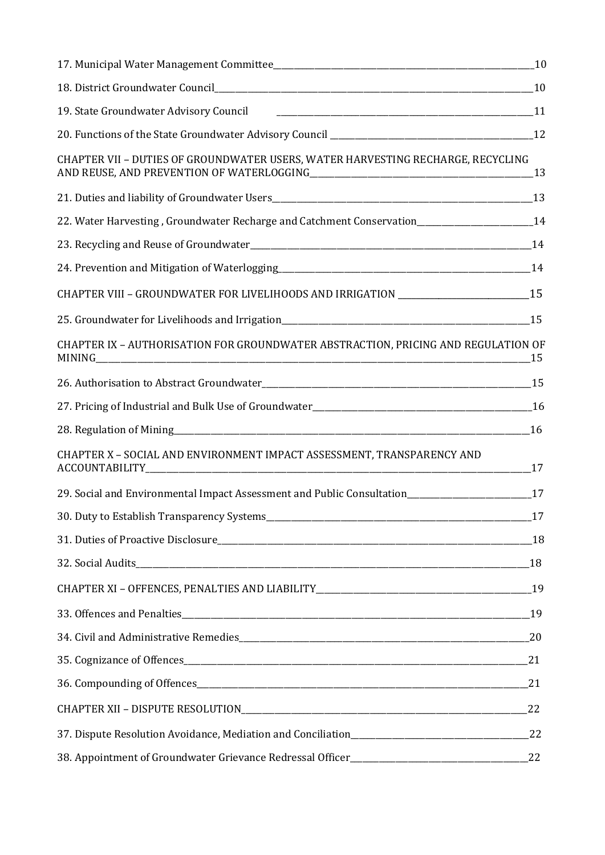|                                                                                                       | $_{10}$   |
|-------------------------------------------------------------------------------------------------------|-----------|
|                                                                                                       |           |
| 19. State Groundwater Advisory Council                                                                |           |
|                                                                                                       |           |
| CHAPTER VII - DUTIES OF GROUNDWATER USERS, WATER HARVESTING RECHARGE, RECYCLING                       |           |
|                                                                                                       |           |
| 22. Water Harvesting, Groundwater Recharge and Catchment Conservation_______________________14        |           |
|                                                                                                       |           |
|                                                                                                       |           |
| CHAPTER VIII - GROUNDWATER FOR LIVELIHOODS AND IRRIGATION _______________________15                   |           |
|                                                                                                       |           |
| CHAPTER IX - AUTHORISATION FOR GROUNDWATER ABSTRACTION, PRICING AND REGULATION OF                     | _15       |
|                                                                                                       | <b>15</b> |
|                                                                                                       |           |
|                                                                                                       |           |
| CHAPTER X - SOCIAL AND ENVIRONMENT IMPACT ASSESSMENT, TRANSPARENCY AND                                | 17        |
| 29. Social and Environmental Impact Assessment and Public Consultation_____________________________17 |           |
|                                                                                                       | 17        |
|                                                                                                       |           |
|                                                                                                       |           |
|                                                                                                       |           |
|                                                                                                       |           |
|                                                                                                       |           |
|                                                                                                       |           |
|                                                                                                       |           |
|                                                                                                       |           |
|                                                                                                       |           |
|                                                                                                       |           |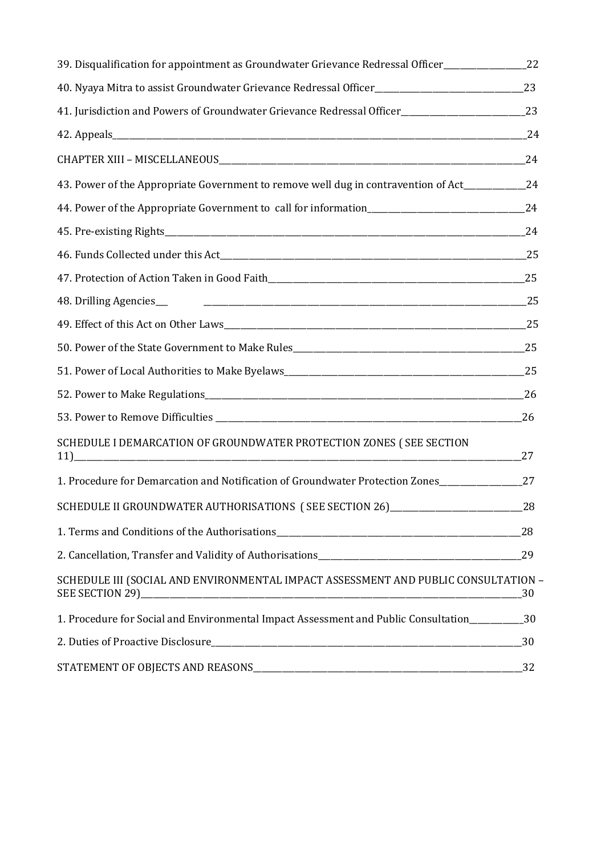| 39. Disqualification for appointment as Groundwater Grievance Redressal Officer____________________22 |     |
|-------------------------------------------------------------------------------------------------------|-----|
| 40. Nyaya Mitra to assist Groundwater Grievance Redressal Officer__________________________________23 |     |
| 41. Jurisdiction and Powers of Groundwater Grievance Redressal Officer____________________________23  |     |
|                                                                                                       |     |
|                                                                                                       |     |
| 43. Power of the Appropriate Government to remove well dug in contravention of Act_______________24   |     |
| 44. Power of the Appropriate Government to call for information__________________________________24   |     |
|                                                                                                       |     |
|                                                                                                       |     |
|                                                                                                       |     |
|                                                                                                       |     |
|                                                                                                       |     |
|                                                                                                       |     |
|                                                                                                       |     |
|                                                                                                       |     |
|                                                                                                       | 26  |
| SCHEDULE I DEMARCATION OF GROUNDWATER PROTECTION ZONES ( SEE SECTION                                  | 27  |
| 1. Procedure for Demarcation and Notification of Groundwater Protection Zones                         | 27  |
| SCHEDULE II GROUNDWATER AUTHORISATIONS (SEE SECTION 26)                                               | 28  |
|                                                                                                       |     |
| 29 Cancellation, Transfer and Validity of Authorisations_________________________                     |     |
| SCHEDULE III (SOCIAL AND ENVIRONMENTAL IMPACT ASSESSMENT AND PUBLIC CONSULTATION -                    | .30 |
| 1. Procedure for Social and Environmental Impact Assessment and Public Consultation_____________30    |     |
|                                                                                                       |     |
|                                                                                                       | 32  |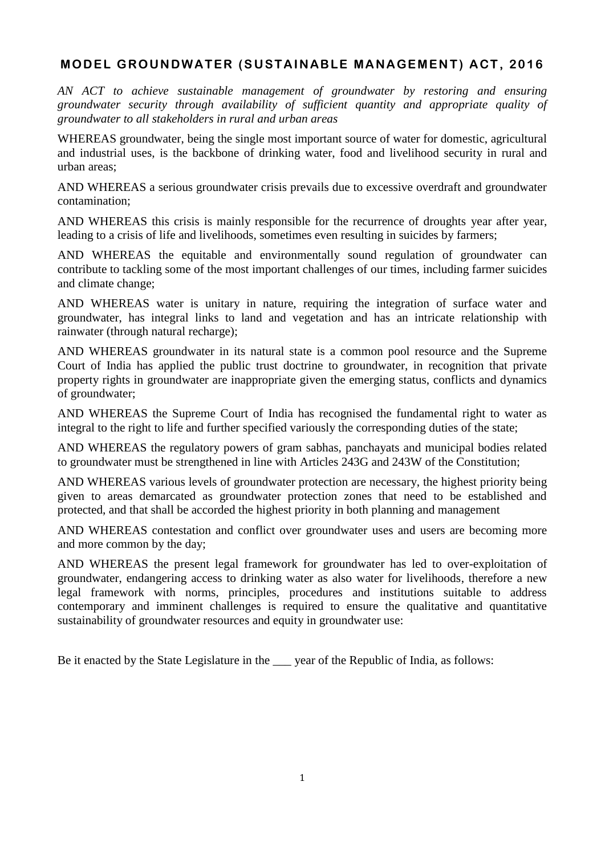# **MODEL GROUNDWATER (SUSTAINABLE MANAGEMENT) ACT, 2016**

*AN ACT to achieve sustainable management of groundwater by restoring and ensuring groundwater security through availability of sufficient quantity and appropriate quality of groundwater to all stakeholders in rural and urban areas*

WHEREAS groundwater, being the single most important source of water for domestic, agricultural and industrial uses, is the backbone of drinking water, food and livelihood security in rural and urban areas;

AND WHEREAS a serious groundwater crisis prevails due to excessive overdraft and groundwater contamination;

AND WHEREAS this crisis is mainly responsible for the recurrence of droughts year after year, leading to a crisis of life and livelihoods, sometimes even resulting in suicides by farmers;

AND WHEREAS the equitable and environmentally sound regulation of groundwater can contribute to tackling some of the most important challenges of our times, including farmer suicides and climate change;

AND WHEREAS water is unitary in nature, requiring the integration of surface water and groundwater, has integral links to land and vegetation and has an intricate relationship with rainwater (through natural recharge);

AND WHEREAS groundwater in its natural state is a common pool resource and the Supreme Court of India has applied the public trust doctrine to groundwater, in recognition that private property rights in groundwater are inappropriate given the emerging status, conflicts and dynamics of groundwater;

AND WHEREAS the Supreme Court of India has recognised the fundamental right to water as integral to the right to life and further specified variously the corresponding duties of the state;

AND WHEREAS the regulatory powers of gram sabhas, panchayats and municipal bodies related to groundwater must be strengthened in line with Articles 243G and 243W of the Constitution;

AND WHEREAS various levels of groundwater protection are necessary, the highest priority being given to areas demarcated as groundwater protection zones that need to be established and protected, and that shall be accorded the highest priority in both planning and management

AND WHEREAS contestation and conflict over groundwater uses and users are becoming more and more common by the day;

AND WHEREAS the present legal framework for groundwater has led to over-exploitation of groundwater, endangering access to drinking water as also water for livelihoods, therefore a new legal framework with norms, principles, procedures and institutions suitable to address contemporary and imminent challenges is required to ensure the qualitative and quantitative sustainability of groundwater resources and equity in groundwater use:

Be it enacted by the State Legislature in the secure of the Republic of India, as follows: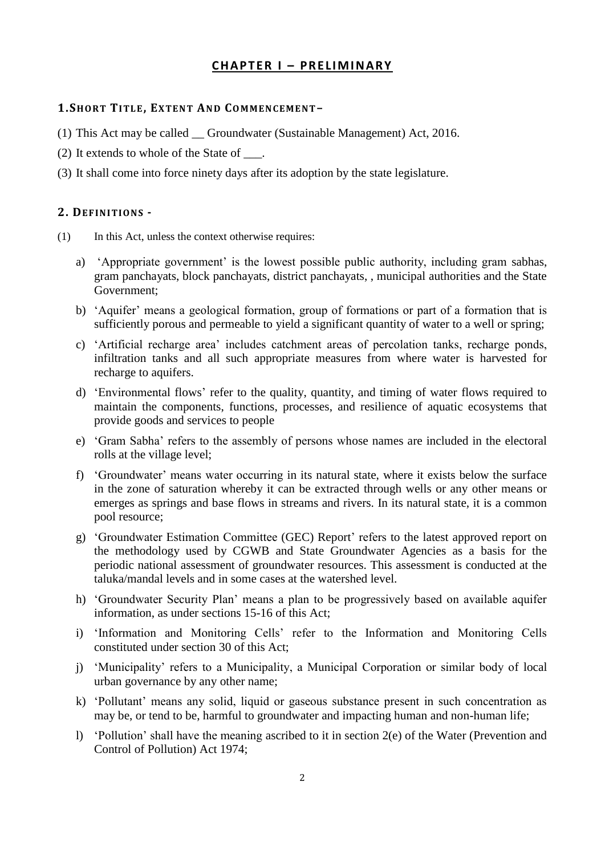#### **C H A P T E R I – PR E L I M I N AR Y**

#### **1.SH ORT TI TLE, EX TEN T AN D CO MMEN CEMEN T–**

- (1) This Act may be called \_\_ Groundwater (Sustainable Management) Act, 2016.
- (2) It extends to whole of the State of  $\qquad$ .
- (3) It shall come into force ninety days after its adoption by the state legislature.

#### **2. DEFINI TIONS -**

- (1) In this Act, unless the context otherwise requires:
	- a) 'Appropriate government' is the lowest possible public authority, including gram sabhas, gram panchayats, block panchayats, district panchayats, , municipal authorities and the State Government;
	- b) "Aquifer" means a geological formation, group of formations or part of a formation that is sufficiently porous and permeable to yield a significant quantity of water to a well or spring;
	- c) "Artificial recharge area" includes catchment areas of percolation tanks, recharge ponds, infiltration tanks and all such appropriate measures from where water is harvested for recharge to aquifers.
	- d) "Environmental flows" refer to the quality, quantity, and timing of water flows required to maintain the components, functions, processes, and resilience of aquatic ecosystems that provide goods and services to people
	- e) "Gram Sabha" refers to the assembly of persons whose names are included in the electoral rolls at the village level;
	- f) "Groundwater" means water occurring in its natural state, where it exists below the surface in the zone of saturation whereby it can be extracted through wells or any other means or emerges as springs and base flows in streams and rivers. In its natural state, it is a common pool resource;
	- g) 'Groundwater Estimation Committee (GEC) Report' refers to the latest approved report on the methodology used by CGWB and State Groundwater Agencies as a basis for the periodic national assessment of groundwater resources. This assessment is conducted at the taluka/mandal levels and in some cases at the watershed level.
	- h) "Groundwater Security Plan" means a plan to be progressively based on available aquifer information, as under sections 15-16 of this Act;
	- i) "Information and Monitoring Cells" refer to the Information and Monitoring Cells constituted under section 30 of this Act;
	- j) "Municipality" refers to a Municipality, a Municipal Corporation or similar body of local urban governance by any other name;
	- k) "Pollutant" means any solid, liquid or gaseous substance present in such concentration as may be, or tend to be, harmful to groundwater and impacting human and non-human life;
	- l) "Pollution" shall have the meaning ascribed to it in section 2(e) of the Water (Prevention and Control of Pollution) Act 1974;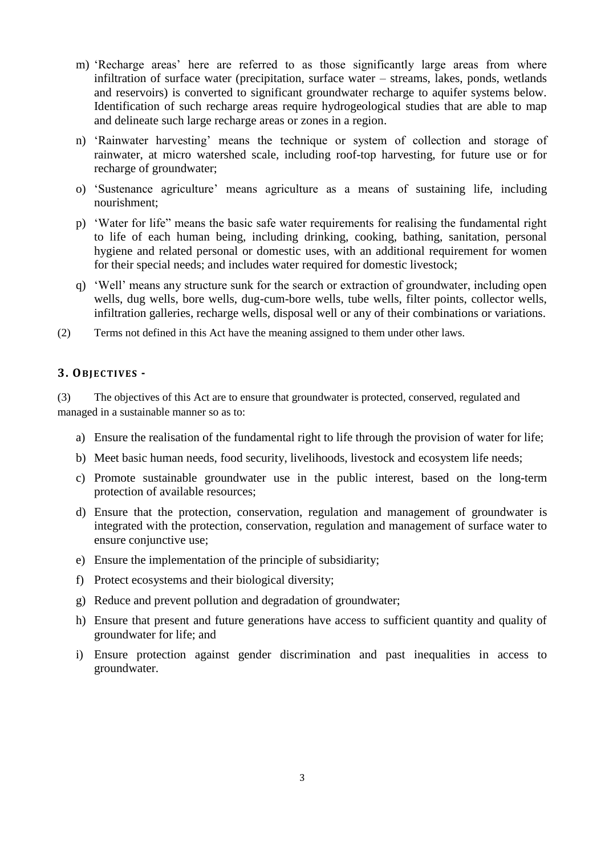- m) 'Recharge areas' here are referred to as those significantly large areas from where infiltration of surface water (precipitation, surface water – streams, lakes, ponds, wetlands and reservoirs) is converted to significant groundwater recharge to aquifer systems below. Identification of such recharge areas require hydrogeological studies that are able to map and delineate such large recharge areas or zones in a region.
- n) "Rainwater harvesting" means the technique or system of collection and storage of rainwater, at micro watershed scale, including roof-top harvesting, for future use or for recharge of groundwater;
- o) "Sustenance agriculture" means agriculture as a means of sustaining life, including nourishment;
- p) "Water for life" means the basic safe water requirements for realising the fundamental right to life of each human being, including drinking, cooking, bathing, sanitation, personal hygiene and related personal or domestic uses, with an additional requirement for women for their special needs; and includes water required for domestic livestock;
- q) "Well" means any structure sunk for the search or extraction of groundwater, including open wells, dug wells, bore wells, dug-cum-bore wells, tube wells, filter points, collector wells, infiltration galleries, recharge wells, disposal well or any of their combinations or variations.
- (2) Terms not defined in this Act have the meaning assigned to them under other laws.

#### **3. OBJEC TIVES -**

(3) The objectives of this Act are to ensure that groundwater is protected, conserved, regulated and managed in a sustainable manner so as to:

- a) Ensure the realisation of the fundamental right to life through the provision of water for life;
- b) Meet basic human needs, food security, livelihoods, livestock and ecosystem life needs;
- c) Promote sustainable groundwater use in the public interest, based on the long-term protection of available resources;
- d) Ensure that the protection, conservation, regulation and management of groundwater is integrated with the protection, conservation, regulation and management of surface water to ensure conjunctive use;
- e) Ensure the implementation of the principle of subsidiarity;
- f) Protect ecosystems and their biological diversity;
- g) Reduce and prevent pollution and degradation of groundwater;
- h) Ensure that present and future generations have access to sufficient quantity and quality of groundwater for life; and
- i) Ensure protection against gender discrimination and past inequalities in access to groundwater.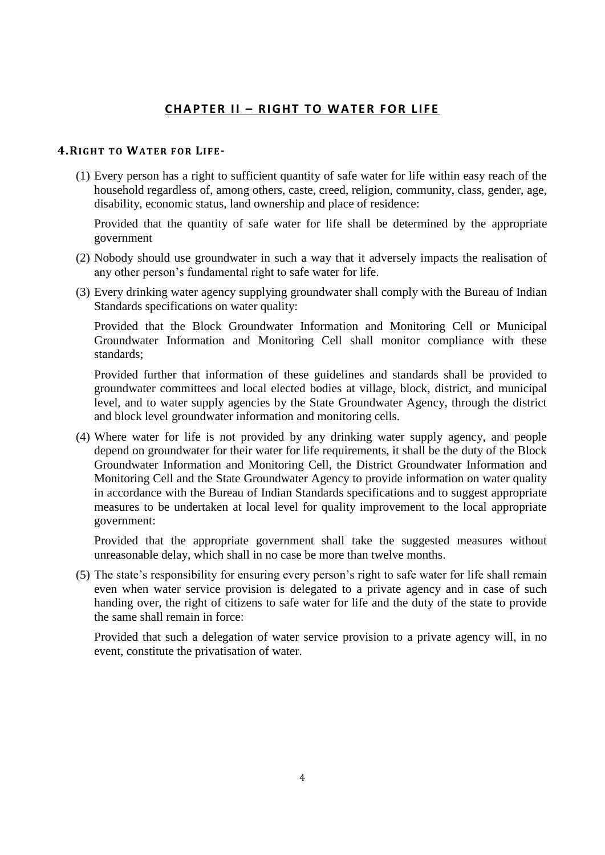### **CHAPTER II – RIGHT TO WATER FOR LIFE**

#### **4.RIG HT TO WATER F OR LIFE-**

(1) Every person has a right to sufficient quantity of safe water for life within easy reach of the household regardless of, among others, caste, creed, religion, community, class, gender, age, disability, economic status, land ownership and place of residence:

Provided that the quantity of safe water for life shall be determined by the appropriate government

- (2) Nobody should use groundwater in such a way that it adversely impacts the realisation of any other person"s fundamental right to safe water for life.
- (3) Every drinking water agency supplying groundwater shall comply with the Bureau of Indian Standards specifications on water quality:

Provided that the Block Groundwater Information and Monitoring Cell or Municipal Groundwater Information and Monitoring Cell shall monitor compliance with these standards;

Provided further that information of these guidelines and standards shall be provided to groundwater committees and local elected bodies at village, block, district, and municipal level, and to water supply agencies by the State Groundwater Agency, through the district and block level groundwater information and monitoring cells.

(4) Where water for life is not provided by any drinking water supply agency, and people depend on groundwater for their water for life requirements, it shall be the duty of the Block Groundwater Information and Monitoring Cell, the District Groundwater Information and Monitoring Cell and the State Groundwater Agency to provide information on water quality in accordance with the Bureau of Indian Standards specifications and to suggest appropriate measures to be undertaken at local level for quality improvement to the local appropriate government:

Provided that the appropriate government shall take the suggested measures without unreasonable delay, which shall in no case be more than twelve months.

(5) The state"s responsibility for ensuring every person"s right to safe water for life shall remain even when water service provision is delegated to a private agency and in case of such handing over, the right of citizens to safe water for life and the duty of the state to provide the same shall remain in force:

Provided that such a delegation of water service provision to a private agency will, in no event, constitute the privatisation of water.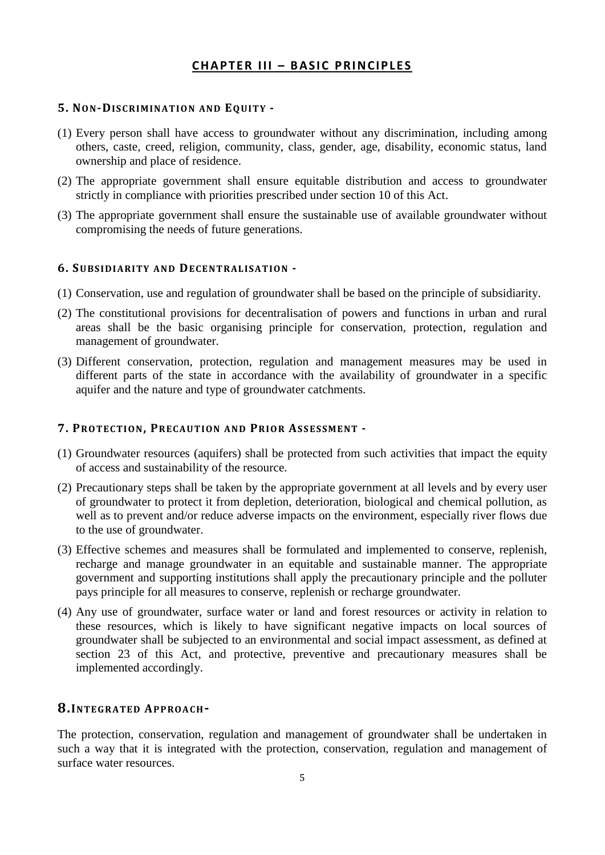## **C H A P T E R I II – B A SI C P RI N CI P L E S**

#### **5. NO N-DIS C RIMIN ATI O N AND EQ UI TY -**

- (1) Every person shall have access to groundwater without any discrimination, including among others, caste, creed, religion, community, class, gender, age, disability, economic status, land ownership and place of residence.
- (2) The appropriate government shall ensure equitable distribution and access to groundwater strictly in compliance with priorities prescribed under section 10 of this Act.
- (3) The appropriate government shall ensure the sustainable use of available groundwater without compromising the needs of future generations.

#### **6. SUBSIDI ARI TY AND DECEN TRALISATI ON -**

- (1) Conservation, use and regulation of groundwater shall be based on the principle of subsidiarity.
- (2) The constitutional provisions for decentralisation of powers and functions in urban and rural areas shall be the basic organising principle for conservation, protection, regulation and management of groundwater.
- (3) Different conservation, protection, regulation and management measures may be used in different parts of the state in accordance with the availability of groundwater in a specific aquifer and the nature and type of groundwater catchments.

#### **7. PRO TEC TI ON, PREC AUTION AND PRI O R ASS ESSMENT -**

- (1) Groundwater resources (aquifers) shall be protected from such activities that impact the equity of access and sustainability of the resource.
- (2) Precautionary steps shall be taken by the appropriate government at all levels and by every user of groundwater to protect it from depletion, deterioration, biological and chemical pollution, as well as to prevent and/or reduce adverse impacts on the environment, especially river flows due to the use of groundwater.
- (3) Effective schemes and measures shall be formulated and implemented to conserve, replenish, recharge and manage groundwater in an equitable and sustainable manner. The appropriate government and supporting institutions shall apply the precautionary principle and the polluter pays principle for all measures to conserve, replenish or recharge groundwater.
- (4) Any use of groundwater, surface water or land and forest resources or activity in relation to these resources, which is likely to have significant negative impacts on local sources of groundwater shall be subjected to an environmental and social impact assessment, as defined at section 23 of this Act, and protective, preventive and precautionary measures shall be implemented accordingly.

#### **8.INTE G RATED APPRO ACH-**

The protection, conservation, regulation and management of groundwater shall be undertaken in such a way that it is integrated with the protection, conservation, regulation and management of surface water resources.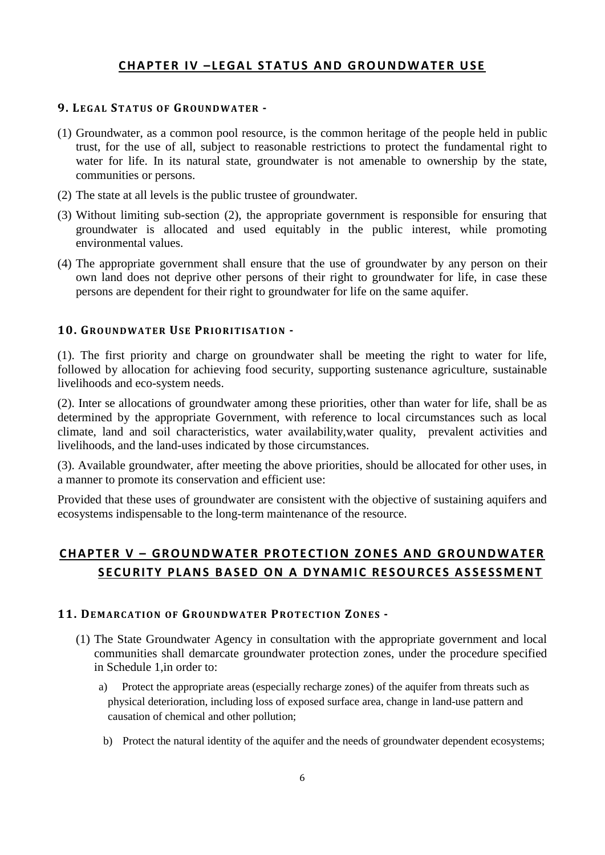### **CHAPTER IV -LEGAL STATUS AND GROUNDWATER USE**

#### **9. LE G AL STATUS OF GROUND W ATE R -**

- (1) Groundwater, as a common pool resource, is the common heritage of the people held in public trust, for the use of all, subject to reasonable restrictions to protect the fundamental right to water for life. In its natural state, groundwater is not amenable to ownership by the state, communities or persons.
- (2) The state at all levels is the public trustee of groundwater.
- (3) Without limiting sub-section (2), the appropriate government is responsible for ensuring that groundwater is allocated and used equitably in the public interest, while promoting environmental values.
- (4) The appropriate government shall ensure that the use of groundwater by any person on their own land does not deprive other persons of their right to groundwater for life, in case these persons are dependent for their right to groundwater for life on the same aquifer.

#### **10. GRO UNDW ATE R USE PRI O RITISATI ON -**

(1). The first priority and charge on groundwater shall be meeting the right to water for life, followed by allocation for achieving food security, supporting sustenance agriculture, sustainable livelihoods and eco-system needs.

(2). Inter se allocations of groundwater among these priorities, other than water for life, shall be as determined by the appropriate Government, with reference to local circumstances such as local climate, land and soil characteristics, water availability,water quality, prevalent activities and livelihoods, and the land-uses indicated by those circumstances.

(3). Available groundwater, after meeting the above priorities, should be allocated for other uses, in a manner to promote its conservation and efficient use:

Provided that these uses of groundwater are consistent with the objective of sustaining aquifers and ecosystems indispensable to the long-term maintenance of the resource.

# **CHAPTER V - GROUNDWATER PROTECTION ZONES AND GROUNDWATER SECURITY PLANS BASED ON A DYNAMIC RESOURCES ASSESSMENT**

#### **11. DE M ARC ATION OF GRO UND W ATER PRO TEC TION ZON ES -**

- (1) The State Groundwater Agency in consultation with the appropriate government and local communities shall demarcate groundwater protection zones, under the procedure specified in Schedule 1,in order to:
	- a) Protect the appropriate areas (especially recharge zones) of the aquifer from threats such as physical deterioration, including loss of exposed surface area, change in land-use pattern and causation of chemical and other pollution;
	- b) Protect the natural identity of the aquifer and the needs of groundwater dependent ecosystems;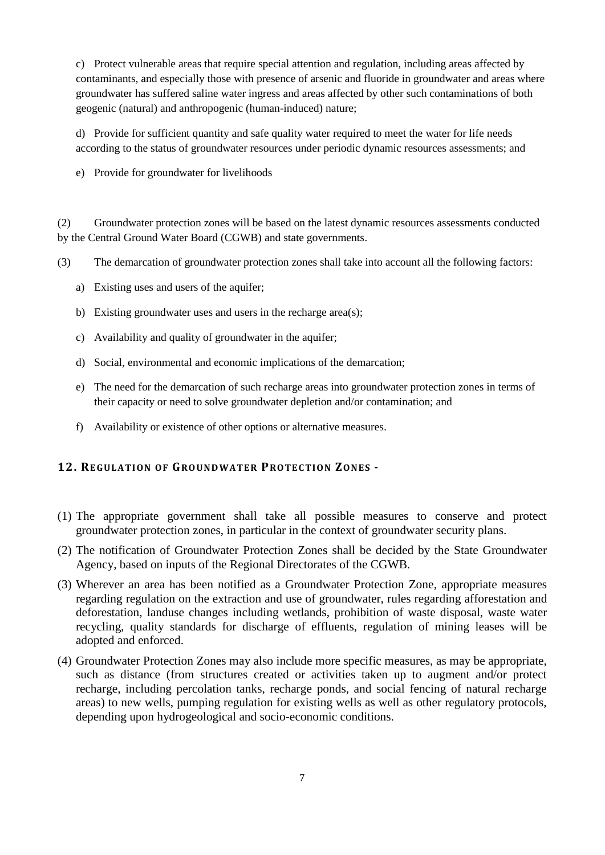c) Protect vulnerable areas that require special attention and regulation, including areas affected by contaminants, and especially those with presence of arsenic and fluoride in groundwater and areas where groundwater has suffered saline water ingress and areas affected by other such contaminations of both geogenic (natural) and anthropogenic (human-induced) nature;

d) Provide for sufficient quantity and safe quality water required to meet the water for life needs according to the status of groundwater resources under periodic dynamic resources assessments; and

e) Provide for groundwater for livelihoods

(2) Groundwater protection zones will be based on the latest dynamic resources assessments conducted by the Central Ground Water Board (CGWB) and state governments.

- (3) The demarcation of groundwater protection zones shall take into account all the following factors:
	- a) Existing uses and users of the aquifer:
	- b) Existing groundwater uses and users in the recharge area(s);
	- c) Availability and quality of groundwater in the aquifer;
	- d) Social, environmental and economic implications of the demarcation;
	- e) The need for the demarcation of such recharge areas into groundwater protection zones in terms of their capacity or need to solve groundwater depletion and/or contamination; and
	- f) Availability or existence of other options or alternative measures.

#### **12. RE GUL ATI ON OF GRO UND W ATER PRO TE C TION ZONES -**

- (1) The appropriate government shall take all possible measures to conserve and protect groundwater protection zones, in particular in the context of groundwater security plans.
- (2) The notification of Groundwater Protection Zones shall be decided by the State Groundwater Agency, based on inputs of the Regional Directorates of the CGWB.
- (3) Wherever an area has been notified as a Groundwater Protection Zone, appropriate measures regarding regulation on the extraction and use of groundwater, rules regarding afforestation and deforestation, landuse changes including wetlands, prohibition of waste disposal, waste water recycling, quality standards for discharge of effluents, regulation of mining leases will be adopted and enforced.
- (4) Groundwater Protection Zones may also include more specific measures, as may be appropriate, such as distance (from structures created or activities taken up to augment and/or protect recharge, including percolation tanks, recharge ponds, and social fencing of natural recharge areas) to new wells, pumping regulation for existing wells as well as other regulatory protocols, depending upon hydrogeological and socio-economic conditions.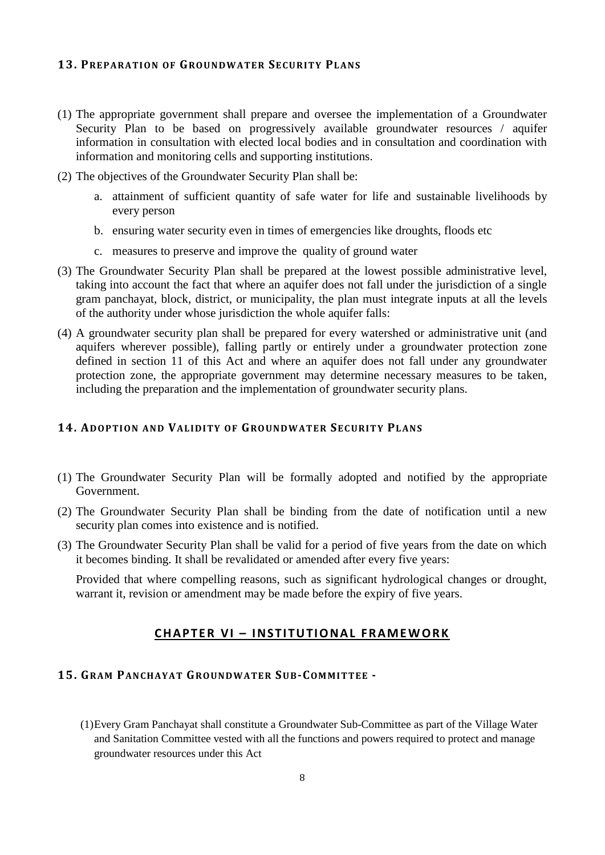#### **13. PRE PARATI ON OF GRO UND W ATER SE CURITY PL ANS**

- (1) The appropriate government shall prepare and oversee the implementation of a Groundwater Security Plan to be based on progressively available groundwater resources / aquifer information in consultation with elected local bodies and in consultation and coordination with information and monitoring cells and supporting institutions.
- (2) The objectives of the Groundwater Security Plan shall be:
	- a. attainment of sufficient quantity of safe water for life and sustainable livelihoods by every person
	- b. ensuring water security even in times of emergencies like droughts, floods etc
	- c. measures to preserve and improve the quality of ground water
- (3) The Groundwater Security Plan shall be prepared at the lowest possible administrative level, taking into account the fact that where an aquifer does not fall under the jurisdiction of a single gram panchayat, block, district, or municipality, the plan must integrate inputs at all the levels of the authority under whose jurisdiction the whole aquifer falls:
- (4) A groundwater security plan shall be prepared for every watershed or administrative unit (and aquifers wherever possible), falling partly or entirely under a groundwater protection zone defined in section 11 of this Act and where an aquifer does not fall under any groundwater protection zone, the appropriate government may determine necessary measures to be taken, including the preparation and the implementation of groundwater security plans.

#### **14. ADO PTI ON AND VALIDI TY OF GRO UND W ATE R SE C URI TY PL ANS**

- (1) The Groundwater Security Plan will be formally adopted and notified by the appropriate Government.
- (2) The Groundwater Security Plan shall be binding from the date of notification until a new security plan comes into existence and is notified.
- (3) The Groundwater Security Plan shall be valid for a period of five years from the date on which it becomes binding. It shall be revalidated or amended after every five years:

Provided that where compelling reasons, such as significant hydrological changes or drought, warrant it, revision or amendment may be made before the expiry of five years.

### **C H A P T E R VI – I NST I T U TI O N A L F R AM E WOR K**

#### **15. GRAM PAN CH AY AT GRO UNDW ATE R SUB-COM MI TTEE -**

(1)Every Gram Panchayat shall constitute a Groundwater Sub-Committee as part of the Village Water and Sanitation Committee vested with all the functions and powers required to protect and manage groundwater resources under this Act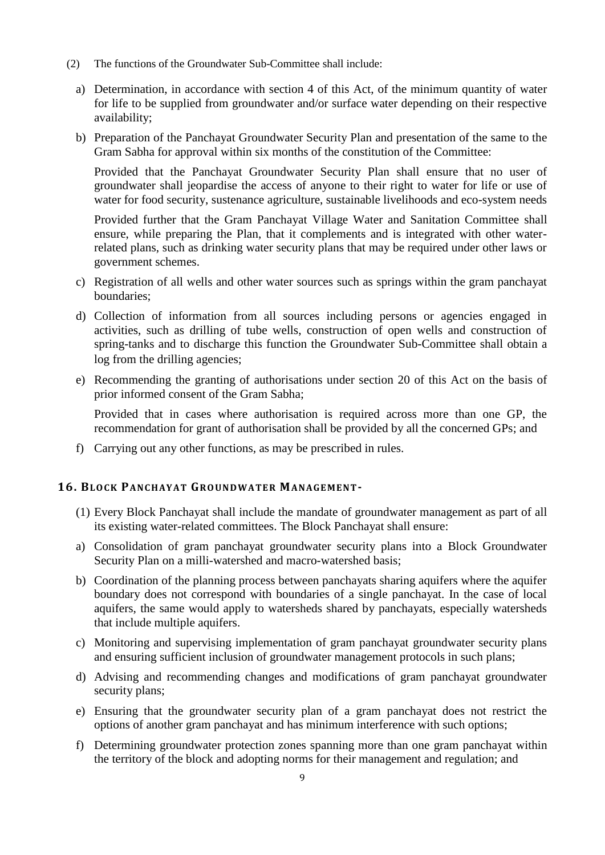- (2) The functions of the Groundwater Sub-Committee shall include:
	- a) Determination, in accordance with section 4 of this Act, of the minimum quantity of water for life to be supplied from groundwater and/or surface water depending on their respective availability;
	- b) Preparation of the Panchayat Groundwater Security Plan and presentation of the same to the Gram Sabha for approval within six months of the constitution of the Committee:

Provided that the Panchayat Groundwater Security Plan shall ensure that no user of groundwater shall jeopardise the access of anyone to their right to water for life or use of water for food security, sustenance agriculture, sustainable livelihoods and eco-system needs

Provided further that the Gram Panchayat Village Water and Sanitation Committee shall ensure, while preparing the Plan, that it complements and is integrated with other waterrelated plans, such as drinking water security plans that may be required under other laws or government schemes.

- c) Registration of all wells and other water sources such as springs within the gram panchayat boundaries;
- d) Collection of information from all sources including persons or agencies engaged in activities, such as drilling of tube wells, construction of open wells and construction of spring-tanks and to discharge this function the Groundwater Sub-Committee shall obtain a log from the drilling agencies;
- e) Recommending the granting of authorisations under section 20 of this Act on the basis of prior informed consent of the Gram Sabha;

Provided that in cases where authorisation is required across more than one GP, the recommendation for grant of authorisation shall be provided by all the concerned GPs; and

f) Carrying out any other functions, as may be prescribed in rules.

#### **16. BLO CK PAN CH AY AT GRO UNDW ATE R MANAGEMEN T-**

- (1) Every Block Panchayat shall include the mandate of groundwater management as part of all its existing water-related committees. The Block Panchayat shall ensure:
- a) Consolidation of gram panchayat groundwater security plans into a Block Groundwater Security Plan on a milli-watershed and macro-watershed basis;
- b) Coordination of the planning process between panchayats sharing aquifers where the aquifer boundary does not correspond with boundaries of a single panchayat. In the case of local aquifers, the same would apply to watersheds shared by panchayats, especially watersheds that include multiple aquifers.
- c) Monitoring and supervising implementation of gram panchayat groundwater security plans and ensuring sufficient inclusion of groundwater management protocols in such plans;
- d) Advising and recommending changes and modifications of gram panchayat groundwater security plans;
- e) Ensuring that the groundwater security plan of a gram panchayat does not restrict the options of another gram panchayat and has minimum interference with such options;
- f) Determining groundwater protection zones spanning more than one gram panchayat within the territory of the block and adopting norms for their management and regulation; and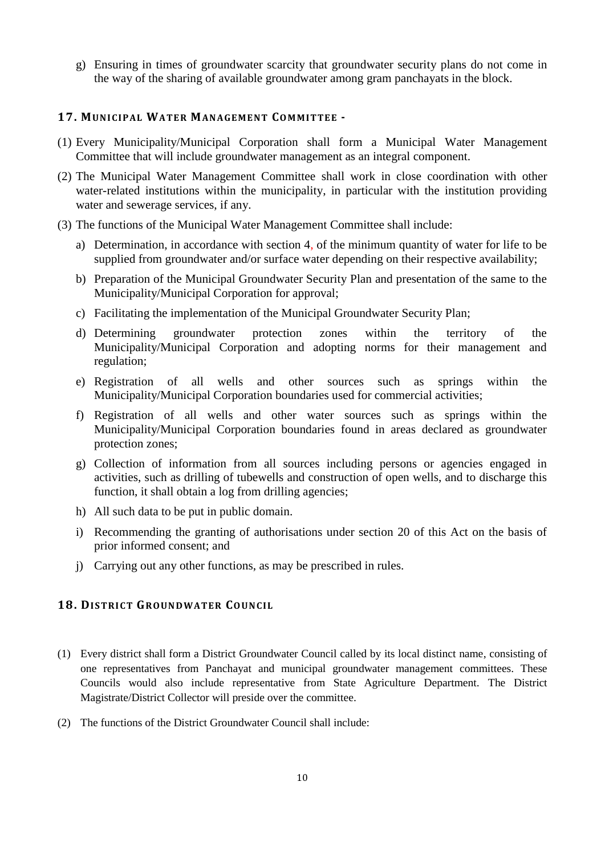g) Ensuring in times of groundwater scarcity that groundwater security plans do not come in the way of the sharing of available groundwater among gram panchayats in the block.

#### **17. MUNI CI PAL WATE R MAN AGEME NT CO M MITTEE -**

- (1) Every Municipality/Municipal Corporation shall form a Municipal Water Management Committee that will include groundwater management as an integral component.
- (2) The Municipal Water Management Committee shall work in close coordination with other water-related institutions within the municipality, in particular with the institution providing water and sewerage services, if any.
- (3) The functions of the Municipal Water Management Committee shall include:
	- a) Determination, in accordance with section 4, of the minimum quantity of water for life to be supplied from groundwater and/or surface water depending on their respective availability;
	- b) Preparation of the Municipal Groundwater Security Plan and presentation of the same to the Municipality/Municipal Corporation for approval;
	- c) Facilitating the implementation of the Municipal Groundwater Security Plan;
	- d) Determining groundwater protection zones within the territory of the Municipality/Municipal Corporation and adopting norms for their management and regulation;
	- e) Registration of all wells and other sources such as springs within the Municipality/Municipal Corporation boundaries used for commercial activities;
	- f) Registration of all wells and other water sources such as springs within the Municipality/Municipal Corporation boundaries found in areas declared as groundwater protection zones;
	- g) Collection of information from all sources including persons or agencies engaged in activities, such as drilling of tubewells and construction of open wells, and to discharge this function, it shall obtain a log from drilling agencies;
	- h) All such data to be put in public domain.
	- i) Recommending the granting of authorisations under section 20 of this Act on the basis of prior informed consent; and
	- j) Carrying out any other functions, as may be prescribed in rules.

#### **18. DIS TRI C T GRO UN DW ATER CO UN CIL**

- (1) Every district shall form a District Groundwater Council called by its local distinct name, consisting of one representatives from Panchayat and municipal groundwater management committees. These Councils would also include representative from State Agriculture Department. The District Magistrate/District Collector will preside over the committee.
- (2) The functions of the District Groundwater Council shall include: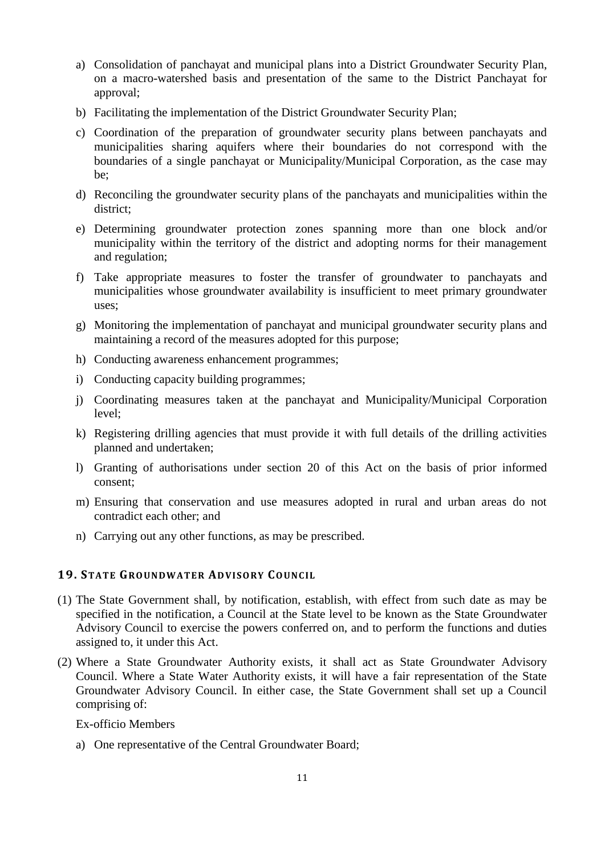- a) Consolidation of panchayat and municipal plans into a District Groundwater Security Plan, on a macro-watershed basis and presentation of the same to the District Panchayat for approval;
- b) Facilitating the implementation of the District Groundwater Security Plan;
- c) Coordination of the preparation of groundwater security plans between panchayats and municipalities sharing aquifers where their boundaries do not correspond with the boundaries of a single panchayat or Municipality/Municipal Corporation, as the case may be;
- d) Reconciling the groundwater security plans of the panchayats and municipalities within the district;
- e) Determining groundwater protection zones spanning more than one block and/or municipality within the territory of the district and adopting norms for their management and regulation;
- f) Take appropriate measures to foster the transfer of groundwater to panchayats and municipalities whose groundwater availability is insufficient to meet primary groundwater uses;
- g) Monitoring the implementation of panchayat and municipal groundwater security plans and maintaining a record of the measures adopted for this purpose;
- h) Conducting awareness enhancement programmes;
- i) Conducting capacity building programmes;
- j) Coordinating measures taken at the panchayat and Municipality/Municipal Corporation level;
- k) Registering drilling agencies that must provide it with full details of the drilling activities planned and undertaken;
- l) Granting of authorisations under section 20 of this Act on the basis of prior informed consent;
- m) Ensuring that conservation and use measures adopted in rural and urban areas do not contradict each other; and
- n) Carrying out any other functions, as may be prescribed.

#### **19. STATE GRO UNDW ATE R AD VISO RY CO UN CIL**

- (1) The State Government shall, by notification, establish, with effect from such date as may be specified in the notification, a Council at the State level to be known as the State Groundwater Advisory Council to exercise the powers conferred on, and to perform the functions and duties assigned to, it under this Act.
- (2) Where a State Groundwater Authority exists, it shall act as State Groundwater Advisory Council. Where a State Water Authority exists, it will have a fair representation of the State Groundwater Advisory Council. In either case, the State Government shall set up a Council comprising of:

Ex-officio Members

a) One representative of the Central Groundwater Board;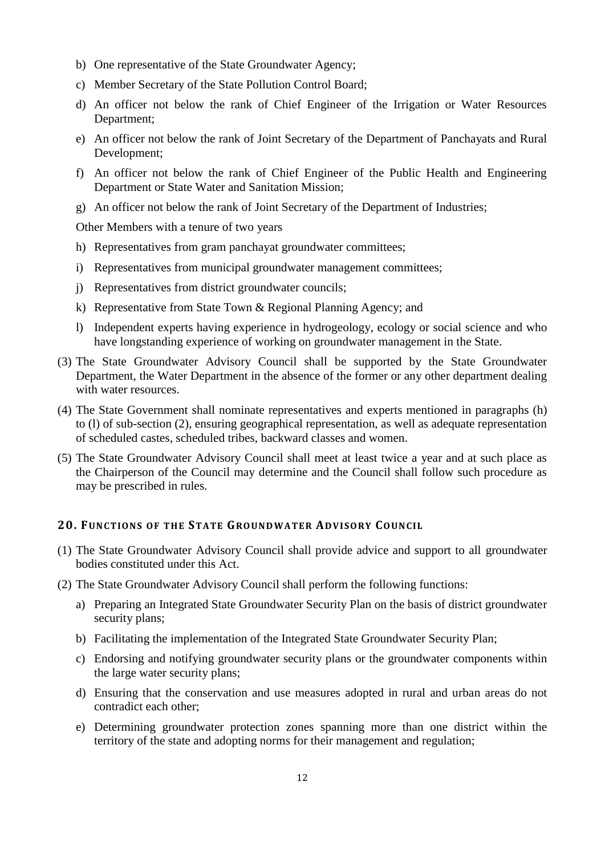- b) One representative of the State Groundwater Agency;
- c) Member Secretary of the State Pollution Control Board;
- d) An officer not below the rank of Chief Engineer of the Irrigation or Water Resources Department;
- e) An officer not below the rank of Joint Secretary of the Department of Panchayats and Rural Development;
- f) An officer not below the rank of Chief Engineer of the Public Health and Engineering Department or State Water and Sanitation Mission;
- g) An officer not below the rank of Joint Secretary of the Department of Industries;

Other Members with a tenure of two years

- h) Representatives from gram panchayat groundwater committees;
- i) Representatives from municipal groundwater management committees;
- j) Representatives from district groundwater councils;
- k) Representative from State Town & Regional Planning Agency; and
- l) Independent experts having experience in hydrogeology, ecology or social science and who have longstanding experience of working on groundwater management in the State.
- (3) The State Groundwater Advisory Council shall be supported by the State Groundwater Department, the Water Department in the absence of the former or any other department dealing with water resources.
- (4) The State Government shall nominate representatives and experts mentioned in paragraphs (h) to (l) of sub-section (2), ensuring geographical representation, as well as adequate representation of scheduled castes, scheduled tribes, backward classes and women.
- (5) The State Groundwater Advisory Council shall meet at least twice a year and at such place as the Chairperson of the Council may determine and the Council shall follow such procedure as may be prescribed in rules.

#### **20. FUN C TIONS OF TH E STATE GRO UND W ATER AD VISO RY CO UN CIL**

- (1) The State Groundwater Advisory Council shall provide advice and support to all groundwater bodies constituted under this Act.
- (2) The State Groundwater Advisory Council shall perform the following functions:
	- a) Preparing an Integrated State Groundwater Security Plan on the basis of district groundwater security plans;
	- b) Facilitating the implementation of the Integrated State Groundwater Security Plan;
	- c) Endorsing and notifying groundwater security plans or the groundwater components within the large water security plans;
	- d) Ensuring that the conservation and use measures adopted in rural and urban areas do not contradict each other;
	- e) Determining groundwater protection zones spanning more than one district within the territory of the state and adopting norms for their management and regulation;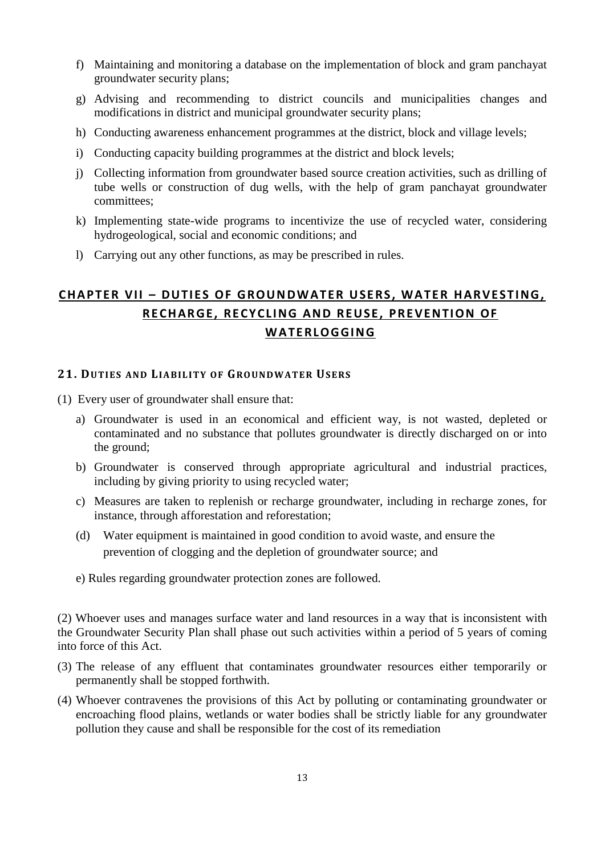- f) Maintaining and monitoring a database on the implementation of block and gram panchayat groundwater security plans;
- g) Advising and recommending to district councils and municipalities changes and modifications in district and municipal groundwater security plans;
- h) Conducting awareness enhancement programmes at the district, block and village levels;
- i) Conducting capacity building programmes at the district and block levels;
- j) Collecting information from groundwater based source creation activities, such as drilling of tube wells or construction of dug wells, with the help of gram panchayat groundwater committees;
- k) Implementing state-wide programs to incentivize the use of recycled water, considering hydrogeological, social and economic conditions; and
- l) Carrying out any other functions, as may be prescribed in rules.

# **CHAPTER VII - DUTIES OF GROUNDWATER USERS, WATER HARVESTING, RECHARGE, RECYCLING AND REUSE, PREVENTION OF W A T E RL OG GI N G**

#### **21. DUTIES AND LI ABILITY OF GRO UND W ATER USERS**

(1) Every user of groundwater shall ensure that:

- a) Groundwater is used in an economical and efficient way, is not wasted, depleted or contaminated and no substance that pollutes groundwater is directly discharged on or into the ground;
- b) Groundwater is conserved through appropriate agricultural and industrial practices, including by giving priority to using recycled water;
- c) Measures are taken to replenish or recharge groundwater, including in recharge zones, for instance, through afforestation and reforestation;
- (d) Water equipment is maintained in good condition to avoid waste, and ensure the prevention of clogging and the depletion of groundwater source; and
- e) Rules regarding groundwater protection zones are followed.

(2) Whoever uses and manages surface water and land resources in a way that is inconsistent with the Groundwater Security Plan shall phase out such activities within a period of 5 years of coming into force of this Act.

- (3) The release of any effluent that contaminates groundwater resources either temporarily or permanently shall be stopped forthwith.
- (4) Whoever contravenes the provisions of this Act by polluting or contaminating groundwater or encroaching flood plains, wetlands or water bodies shall be strictly liable for any groundwater pollution they cause and shall be responsible for the cost of its remediation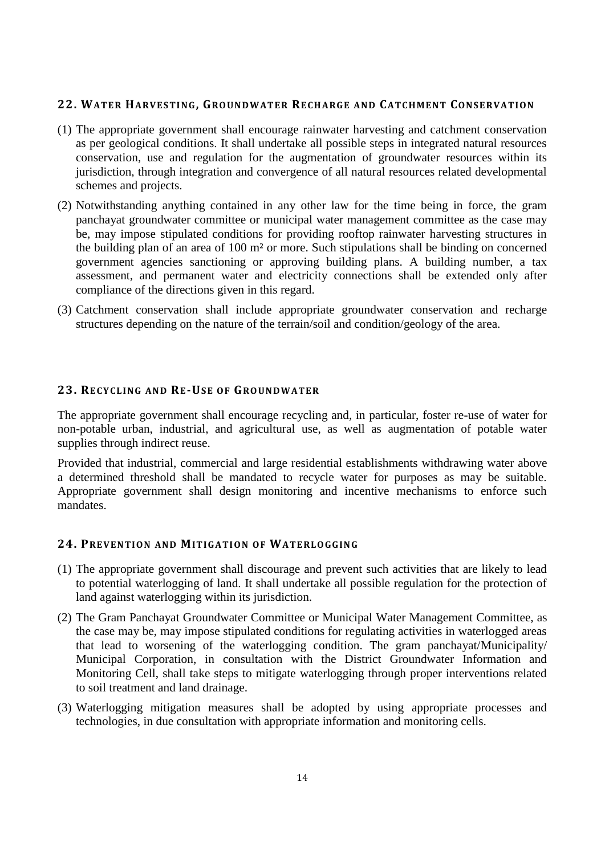#### **22. WATE R HARVES TI NG, GRO UND W ATER RECH ARG E AND CATC H MENT CONSE RV ATION**

- (1) The appropriate government shall encourage rainwater harvesting and catchment conservation as per geological conditions. It shall undertake all possible steps in integrated natural resources conservation, use and regulation for the augmentation of groundwater resources within its jurisdiction, through integration and convergence of all natural resources related developmental schemes and projects.
- (2) Notwithstanding anything contained in any other law for the time being in force, the gram panchayat groundwater committee or municipal water management committee as the case may be, may impose stipulated conditions for providing rooftop rainwater harvesting structures in the building plan of an area of 100 m² or more. Such stipulations shall be binding on concerned government agencies sanctioning or approving building plans. A building number, a tax assessment, and permanent water and electricity connections shall be extended only after compliance of the directions given in this regard.
- (3) Catchment conservation shall include appropriate groundwater conservation and recharge structures depending on the nature of the terrain/soil and condition/geology of the area.

#### **23. RE CY CLING AND RE-USE OF GRO UND W ATE R**

The appropriate government shall encourage recycling and, in particular, foster re-use of water for non-potable urban, industrial, and agricultural use, as well as augmentation of potable water supplies through indirect reuse.

Provided that industrial, commercial and large residential establishments withdrawing water above a determined threshold shall be mandated to recycle water for purposes as may be suitable. Appropriate government shall design monitoring and incentive mechanisms to enforce such mandates.

#### **24. PREV EN TION AND MITIG ATI ON OF WATE RLO GGIN G**

- (1) The appropriate government shall discourage and prevent such activities that are likely to lead to potential waterlogging of land. It shall undertake all possible regulation for the protection of land against waterlogging within its jurisdiction.
- (2) The Gram Panchayat Groundwater Committee or Municipal Water Management Committee, as the case may be, may impose stipulated conditions for regulating activities in waterlogged areas that lead to worsening of the waterlogging condition. The gram panchayat/Municipality/ Municipal Corporation, in consultation with the District Groundwater Information and Monitoring Cell, shall take steps to mitigate waterlogging through proper interventions related to soil treatment and land drainage.
- (3) Waterlogging mitigation measures shall be adopted by using appropriate processes and technologies, in due consultation with appropriate information and monitoring cells.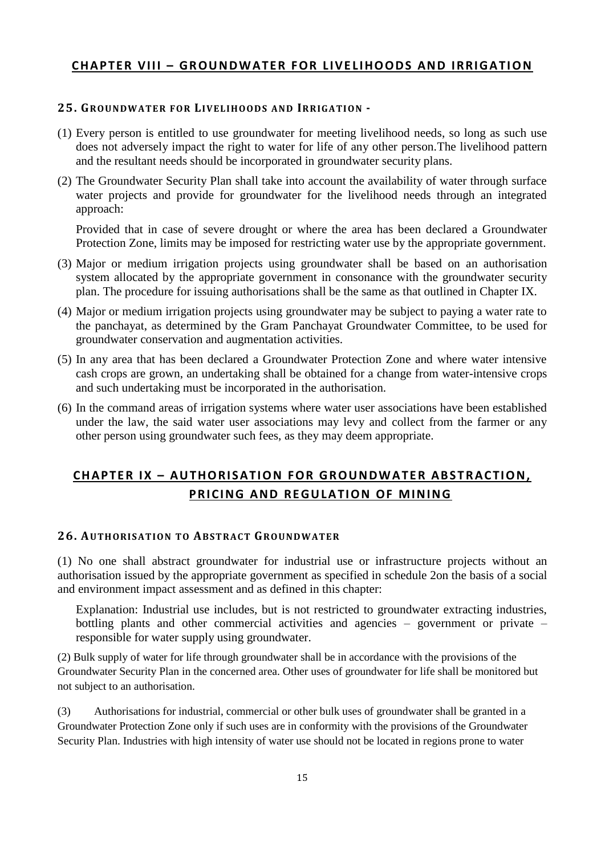### **CHAPTER VIII - GROUNDWATER FOR LIVELIHOODS AND IRRIGATION**

#### **25. GROUNDW ATE R FOR LI VELIH OODS AND IRRIG ATI ON -**

- (1) Every person is entitled to use groundwater for meeting livelihood needs, so long as such use does not adversely impact the right to water for life of any other person.The livelihood pattern and the resultant needs should be incorporated in groundwater security plans.
- (2) The Groundwater Security Plan shall take into account the availability of water through surface water projects and provide for groundwater for the livelihood needs through an integrated approach:

Provided that in case of severe drought or where the area has been declared a Groundwater Protection Zone, limits may be imposed for restricting water use by the appropriate government.

- (3) Major or medium irrigation projects using groundwater shall be based on an authorisation system allocated by the appropriate government in consonance with the groundwater security plan. The procedure for issuing authorisations shall be the same as that outlined in Chapter IX.
- (4) Major or medium irrigation projects using groundwater may be subject to paying a water rate to the panchayat, as determined by the Gram Panchayat Groundwater Committee, to be used for groundwater conservation and augmentation activities.
- (5) In any area that has been declared a Groundwater Protection Zone and where water intensive cash crops are grown, an undertaking shall be obtained for a change from water-intensive crops and such undertaking must be incorporated in the authorisation.
- (6) In the command areas of irrigation systems where water user associations have been established under the law, the said water user associations may levy and collect from the farmer or any other person using groundwater such fees, as they may deem appropriate.

# **CHAPTER IX - AUTHORISATION FOR GROUNDWATER ABSTRACTION, PRICING AND REGULATION OF MINING**

#### **26. AUTH ORIS ATI ON TO ABSTRAC T GROUN DW ATER**

(1) No one shall abstract groundwater for industrial use or infrastructure projects without an authorisation issued by the appropriate government as specified in schedule 2on the basis of a social and environment impact assessment and as defined in this chapter:

Explanation: Industrial use includes, but is not restricted to groundwater extracting industries, bottling plants and other commercial activities and agencies – government or private – responsible for water supply using groundwater.

(2) Bulk supply of water for life through groundwater shall be in accordance with the provisions of the Groundwater Security Plan in the concerned area. Other uses of groundwater for life shall be monitored but not subject to an authorisation.

(3) Authorisations for industrial, commercial or other bulk uses of groundwater shall be granted in a Groundwater Protection Zone only if such uses are in conformity with the provisions of the Groundwater Security Plan. Industries with high intensity of water use should not be located in regions prone to water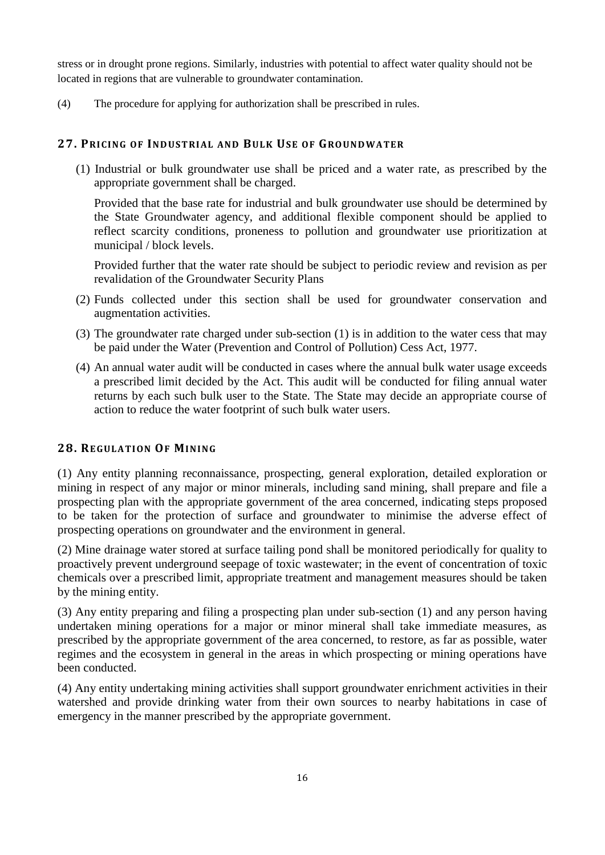stress or in drought prone regions. Similarly, industries with potential to affect water quality should not be located in regions that are vulnerable to groundwater contamination.

(4) The procedure for applying for authorization shall be prescribed in rules.

#### **27. PRI CING OF IND US TRI AL AND BULK USE OF GRO UND W ATER**

(1) Industrial or bulk groundwater use shall be priced and a water rate, as prescribed by the appropriate government shall be charged.

Provided that the base rate for industrial and bulk groundwater use should be determined by the State Groundwater agency, and additional flexible component should be applied to reflect scarcity conditions, proneness to pollution and groundwater use prioritization at municipal / block levels.

Provided further that the water rate should be subject to periodic review and revision as per revalidation of the Groundwater Security Plans

- (2) Funds collected under this section shall be used for groundwater conservation and augmentation activities.
- (3) The groundwater rate charged under sub-section (1) is in addition to the water cess that may be paid under the Water (Prevention and Control of Pollution) Cess Act, 1977.
- (4) An annual water audit will be conducted in cases where the annual bulk water usage exceeds a prescribed limit decided by the Act. This audit will be conducted for filing annual water returns by each such bulk user to the State. The State may decide an appropriate course of action to reduce the water footprint of such bulk water users.

#### **28. RE GUL ATI ON OF MINING**

(1) Any entity planning reconnaissance, prospecting, general exploration, detailed exploration or mining in respect of any major or minor minerals, including sand mining, shall prepare and file a prospecting plan with the appropriate government of the area concerned, indicating steps proposed to be taken for the protection of surface and groundwater to minimise the adverse effect of prospecting operations on groundwater and the environment in general.

(2) Mine drainage water stored at surface tailing pond shall be monitored periodically for quality to proactively prevent underground seepage of toxic wastewater; in the event of concentration of toxic chemicals over a prescribed limit, appropriate treatment and management measures should be taken by the mining entity.

(3) Any entity preparing and filing a prospecting plan under sub-section (1) and any person having undertaken mining operations for a major or minor mineral shall take immediate measures, as prescribed by the appropriate government of the area concerned, to restore, as far as possible, water regimes and the ecosystem in general in the areas in which prospecting or mining operations have been conducted.

(4) Any entity undertaking mining activities shall support groundwater enrichment activities in their watershed and provide drinking water from their own sources to nearby habitations in case of emergency in the manner prescribed by the appropriate government.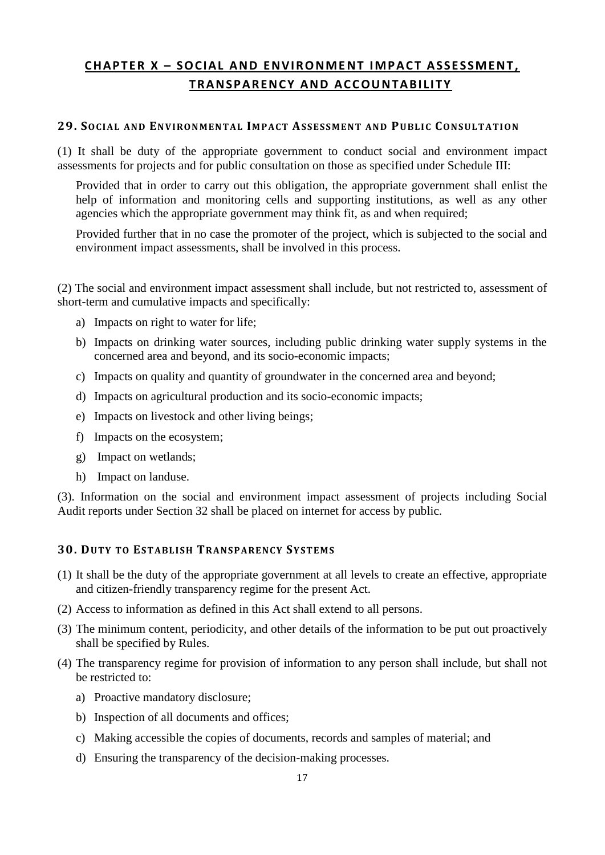# **CHAPTER X - SOCIAL AND ENVIRONMENT IMPACT ASSESSMENT, TRANSPARENCY AND ACCOUNTABILITY**

#### **29. SO CI AL AND EN VI RON MEN TAL IM PACT ASSESSMENT AND PUBLI C CONSUL TATI ON**

(1) It shall be duty of the appropriate government to conduct social and environment impact assessments for projects and for public consultation on those as specified under Schedule III:

Provided that in order to carry out this obligation, the appropriate government shall enlist the help of information and monitoring cells and supporting institutions, as well as any other agencies which the appropriate government may think fit, as and when required;

Provided further that in no case the promoter of the project, which is subjected to the social and environment impact assessments, shall be involved in this process.

(2) The social and environment impact assessment shall include, but not restricted to, assessment of short-term and cumulative impacts and specifically:

- a) Impacts on right to water for life;
- b) Impacts on drinking water sources, including public drinking water supply systems in the concerned area and beyond, and its socio-economic impacts;
- c) Impacts on quality and quantity of groundwater in the concerned area and beyond;
- d) Impacts on agricultural production and its socio-economic impacts;
- e) Impacts on livestock and other living beings;
- f) Impacts on the ecosystem;
- g) Impact on wetlands;
- h) Impact on landuse.

(3). Information on the social and environment impact assessment of projects including Social Audit reports under Section 32 shall be placed on internet for access by public.

#### **30. DUTY TO ES TABLI SH TRANS PAREN CY SY STEMS**

- (1) It shall be the duty of the appropriate government at all levels to create an effective, appropriate and citizen-friendly transparency regime for the present Act.
- (2) Access to information as defined in this Act shall extend to all persons.
- (3) The minimum content, periodicity, and other details of the information to be put out proactively shall be specified by Rules.
- (4) The transparency regime for provision of information to any person shall include, but shall not be restricted to:
	- a) Proactive mandatory disclosure;
	- b) Inspection of all documents and offices;
	- c) Making accessible the copies of documents, records and samples of material; and
	- d) Ensuring the transparency of the decision-making processes.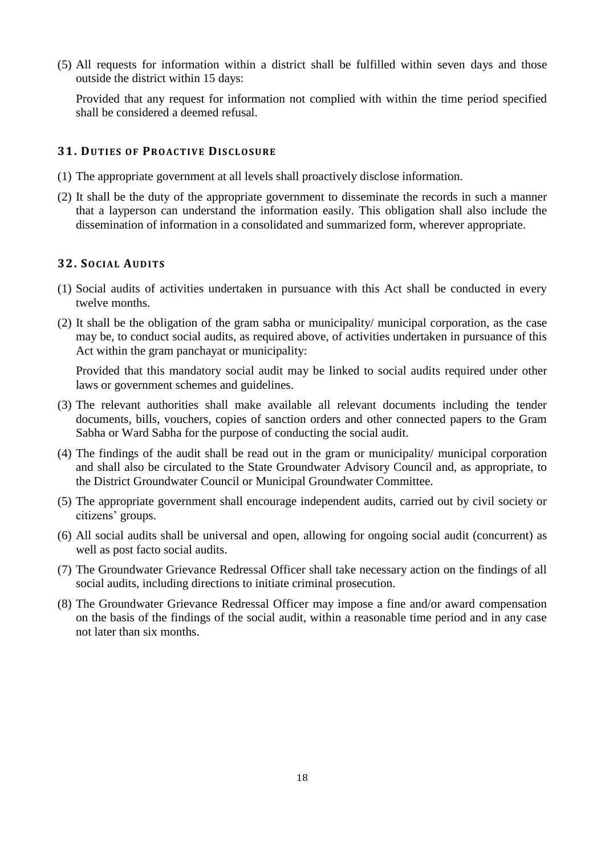(5) All requests for information within a district shall be fulfilled within seven days and those outside the district within 15 days:

Provided that any request for information not complied with within the time period specified shall be considered a deemed refusal.

#### **31. DUTIES OF PRO AC TI VE DIS CLOS URE**

- (1) The appropriate government at all levels shall proactively disclose information.
- (2) It shall be the duty of the appropriate government to disseminate the records in such a manner that a layperson can understand the information easily. This obligation shall also include the dissemination of information in a consolidated and summarized form, wherever appropriate.

#### **32. SO CI AL AUDI TS**

- (1) Social audits of activities undertaken in pursuance with this Act shall be conducted in every twelve months.
- (2) It shall be the obligation of the gram sabha or municipality/ municipal corporation, as the case may be, to conduct social audits, as required above, of activities undertaken in pursuance of this Act within the gram panchayat or municipality:

Provided that this mandatory social audit may be linked to social audits required under other laws or government schemes and guidelines.

- (3) The relevant authorities shall make available all relevant documents including the tender documents, bills, vouchers, copies of sanction orders and other connected papers to the Gram Sabha or Ward Sabha for the purpose of conducting the social audit.
- (4) The findings of the audit shall be read out in the gram or municipality/ municipal corporation and shall also be circulated to the State Groundwater Advisory Council and, as appropriate, to the District Groundwater Council or Municipal Groundwater Committee.
- (5) The appropriate government shall encourage independent audits, carried out by civil society or citizens' groups.
- (6) All social audits shall be universal and open, allowing for ongoing social audit (concurrent) as well as post facto social audits.
- (7) The Groundwater Grievance Redressal Officer shall take necessary action on the findings of all social audits, including directions to initiate criminal prosecution.
- (8) The Groundwater Grievance Redressal Officer may impose a fine and/or award compensation on the basis of the findings of the social audit, within a reasonable time period and in any case not later than six months.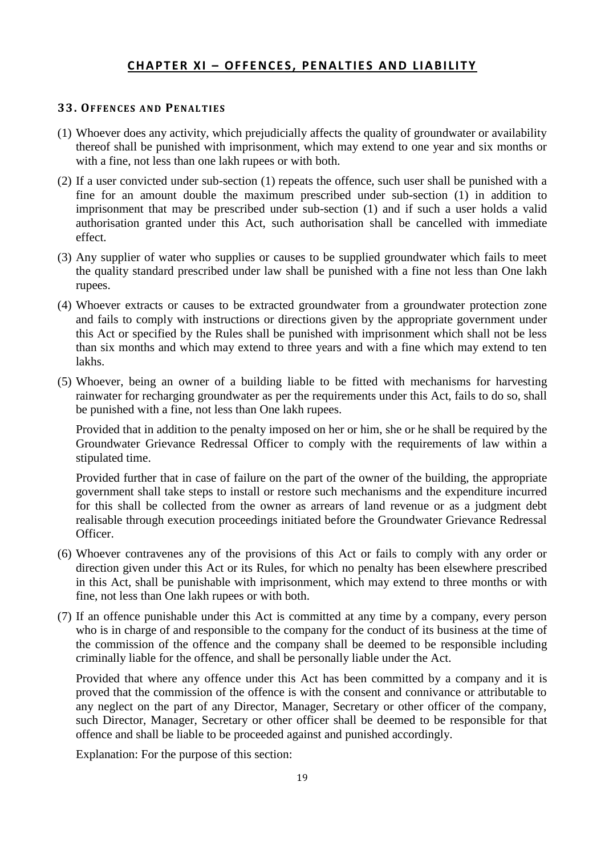#### **CHAPTER XI - OFFENCES, PENALTIES AND LIABILITY**

#### **33. OFFEN CES AND PE NAL TIES**

- (1) Whoever does any activity, which prejudicially affects the quality of groundwater or availability thereof shall be punished with imprisonment, which may extend to one year and six months or with a fine, not less than one lakh rupees or with both.
- (2) If a user convicted under sub-section (1) repeats the offence, such user shall be punished with a fine for an amount double the maximum prescribed under sub-section (1) in addition to imprisonment that may be prescribed under sub-section (1) and if such a user holds a valid authorisation granted under this Act, such authorisation shall be cancelled with immediate effect.
- (3) Any supplier of water who supplies or causes to be supplied groundwater which fails to meet the quality standard prescribed under law shall be punished with a fine not less than One lakh rupees.
- (4) Whoever extracts or causes to be extracted groundwater from a groundwater protection zone and fails to comply with instructions or directions given by the appropriate government under this Act or specified by the Rules shall be punished with imprisonment which shall not be less than six months and which may extend to three years and with a fine which may extend to ten lakhs.
- (5) Whoever, being an owner of a building liable to be fitted with mechanisms for harvesting rainwater for recharging groundwater as per the requirements under this Act, fails to do so, shall be punished with a fine, not less than One lakh rupees.

Provided that in addition to the penalty imposed on her or him, she or he shall be required by the Groundwater Grievance Redressal Officer to comply with the requirements of law within a stipulated time.

Provided further that in case of failure on the part of the owner of the building, the appropriate government shall take steps to install or restore such mechanisms and the expenditure incurred for this shall be collected from the owner as arrears of land revenue or as a judgment debt realisable through execution proceedings initiated before the Groundwater Grievance Redressal Officer.

- (6) Whoever contravenes any of the provisions of this Act or fails to comply with any order or direction given under this Act or its Rules, for which no penalty has been elsewhere prescribed in this Act, shall be punishable with imprisonment, which may extend to three months or with fine, not less than One lakh rupees or with both.
- (7) If an offence punishable under this Act is committed at any time by a company, every person who is in charge of and responsible to the company for the conduct of its business at the time of the commission of the offence and the company shall be deemed to be responsible including criminally liable for the offence, and shall be personally liable under the Act.

Provided that where any offence under this Act has been committed by a company and it is proved that the commission of the offence is with the consent and connivance or attributable to any neglect on the part of any Director, Manager, Secretary or other officer of the company, such Director, Manager, Secretary or other officer shall be deemed to be responsible for that offence and shall be liable to be proceeded against and punished accordingly.

Explanation: For the purpose of this section: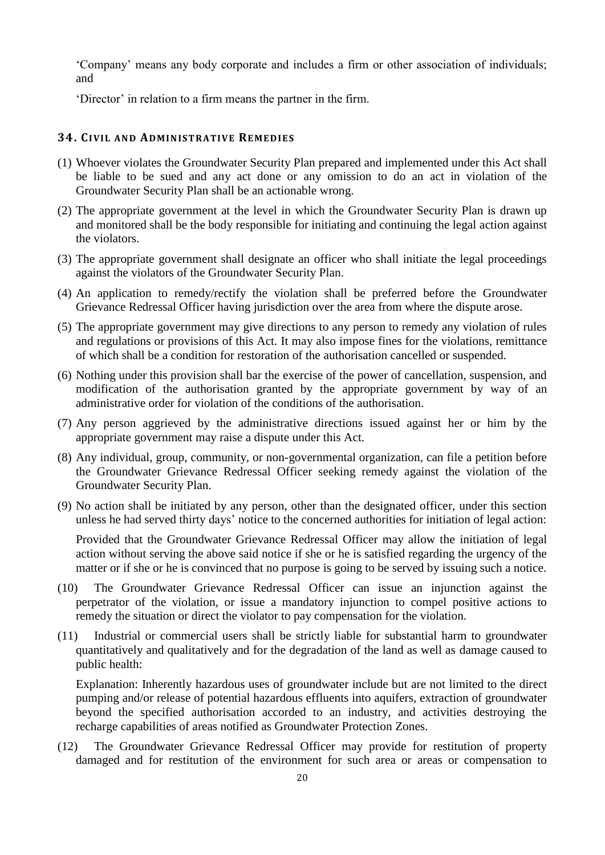"Company" means any body corporate and includes a firm or other association of individuals; and

"Director" in relation to a firm means the partner in the firm.

#### **34. CI VIL AN D ADMIN ISTRATIVE RE MEDIES**

- (1) Whoever violates the Groundwater Security Plan prepared and implemented under this Act shall be liable to be sued and any act done or any omission to do an act in violation of the Groundwater Security Plan shall be an actionable wrong.
- (2) The appropriate government at the level in which the Groundwater Security Plan is drawn up and monitored shall be the body responsible for initiating and continuing the legal action against the violators.
- (3) The appropriate government shall designate an officer who shall initiate the legal proceedings against the violators of the Groundwater Security Plan.
- (4) An application to remedy/rectify the violation shall be preferred before the Groundwater Grievance Redressal Officer having jurisdiction over the area from where the dispute arose.
- (5) The appropriate government may give directions to any person to remedy any violation of rules and regulations or provisions of this Act. It may also impose fines for the violations, remittance of which shall be a condition for restoration of the authorisation cancelled or suspended.
- (6) Nothing under this provision shall bar the exercise of the power of cancellation, suspension, and modification of the authorisation granted by the appropriate government by way of an administrative order for violation of the conditions of the authorisation.
- (7) Any person aggrieved by the administrative directions issued against her or him by the appropriate government may raise a dispute under this Act.
- (8) Any individual, group, community, or non-governmental organization, can file a petition before the Groundwater Grievance Redressal Officer seeking remedy against the violation of the Groundwater Security Plan.
- (9) No action shall be initiated by any person, other than the designated officer, under this section unless he had served thirty days" notice to the concerned authorities for initiation of legal action:

Provided that the Groundwater Grievance Redressal Officer may allow the initiation of legal action without serving the above said notice if she or he is satisfied regarding the urgency of the matter or if she or he is convinced that no purpose is going to be served by issuing such a notice.

- (10) The Groundwater Grievance Redressal Officer can issue an injunction against the perpetrator of the violation, or issue a mandatory injunction to compel positive actions to remedy the situation or direct the violator to pay compensation for the violation.
- (11) Industrial or commercial users shall be strictly liable for substantial harm to groundwater quantitatively and qualitatively and for the degradation of the land as well as damage caused to public health:

Explanation: Inherently hazardous uses of groundwater include but are not limited to the direct pumping and/or release of potential hazardous effluents into aquifers, extraction of groundwater beyond the specified authorisation accorded to an industry, and activities destroying the recharge capabilities of areas notified as Groundwater Protection Zones.

(12) The Groundwater Grievance Redressal Officer may provide for restitution of property damaged and for restitution of the environment for such area or areas or compensation to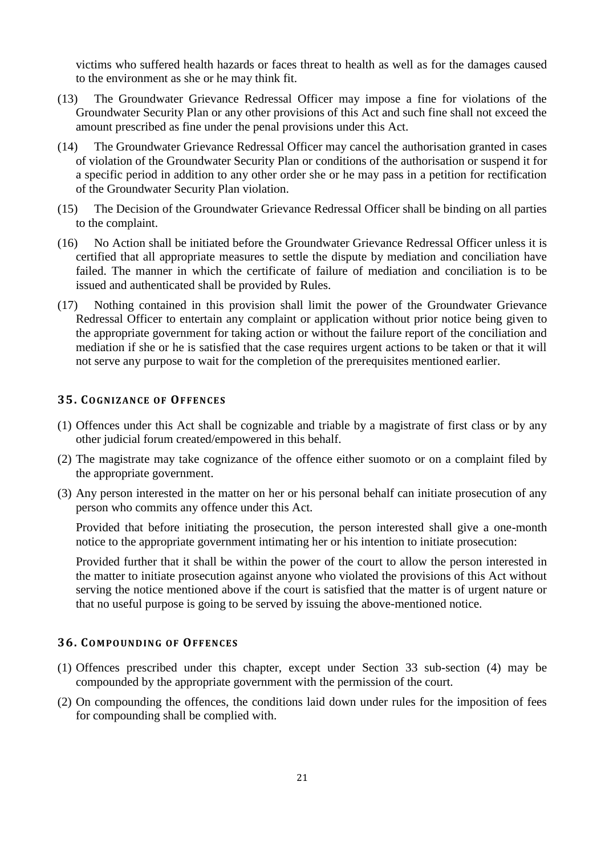victims who suffered health hazards or faces threat to health as well as for the damages caused to the environment as she or he may think fit.

- (13) The Groundwater Grievance Redressal Officer may impose a fine for violations of the Groundwater Security Plan or any other provisions of this Act and such fine shall not exceed the amount prescribed as fine under the penal provisions under this Act.
- (14) The Groundwater Grievance Redressal Officer may cancel the authorisation granted in cases of violation of the Groundwater Security Plan or conditions of the authorisation or suspend it for a specific period in addition to any other order she or he may pass in a petition for rectification of the Groundwater Security Plan violation.
- (15) The Decision of the Groundwater Grievance Redressal Officer shall be binding on all parties to the complaint.
- (16) No Action shall be initiated before the Groundwater Grievance Redressal Officer unless it is certified that all appropriate measures to settle the dispute by mediation and conciliation have failed. The manner in which the certificate of failure of mediation and conciliation is to be issued and authenticated shall be provided by Rules.
- (17) Nothing contained in this provision shall limit the power of the Groundwater Grievance Redressal Officer to entertain any complaint or application without prior notice being given to the appropriate government for taking action or without the failure report of the conciliation and mediation if she or he is satisfied that the case requires urgent actions to be taken or that it will not serve any purpose to wait for the completion of the prerequisites mentioned earlier.

#### **35. CO GNIZ AN CE OF OFFENCES**

- (1) Offences under this Act shall be cognizable and triable by a magistrate of first class or by any other judicial forum created/empowered in this behalf.
- (2) The magistrate may take cognizance of the offence either suomoto or on a complaint filed by the appropriate government.
- (3) Any person interested in the matter on her or his personal behalf can initiate prosecution of any person who commits any offence under this Act.

Provided that before initiating the prosecution, the person interested shall give a one-month notice to the appropriate government intimating her or his intention to initiate prosecution:

Provided further that it shall be within the power of the court to allow the person interested in the matter to initiate prosecution against anyone who violated the provisions of this Act without serving the notice mentioned above if the court is satisfied that the matter is of urgent nature or that no useful purpose is going to be served by issuing the above-mentioned notice.

#### **36. CO M PO UNDIN G OF OFFENC ES**

- (1) Offences prescribed under this chapter, except under Section 33 sub-section (4) may be compounded by the appropriate government with the permission of the court.
- (2) On compounding the offences, the conditions laid down under rules for the imposition of fees for compounding shall be complied with.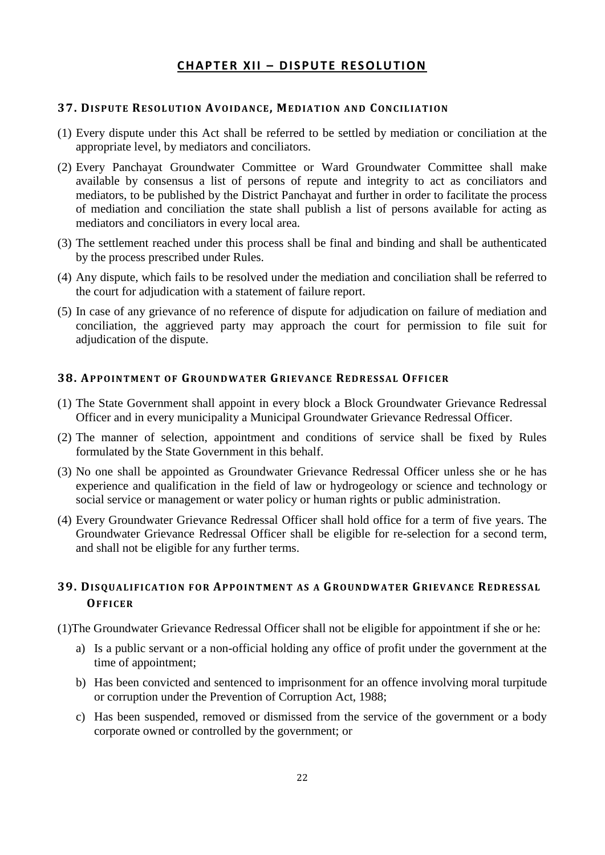#### **C H A P T E R X II – D ISP U T E R E S O L U TI ON**

#### **37. DIS PUTE RES OL UTION AV OID AN CE, ME DIATIO N AND CON CILI ATION**

- (1) Every dispute under this Act shall be referred to be settled by mediation or conciliation at the appropriate level, by mediators and conciliators.
- (2) Every Panchayat Groundwater Committee or Ward Groundwater Committee shall make available by consensus a list of persons of repute and integrity to act as conciliators and mediators, to be published by the District Panchayat and further in order to facilitate the process of mediation and conciliation the state shall publish a list of persons available for acting as mediators and conciliators in every local area.
- (3) The settlement reached under this process shall be final and binding and shall be authenticated by the process prescribed under Rules.
- (4) Any dispute, which fails to be resolved under the mediation and conciliation shall be referred to the court for adjudication with a statement of failure report.
- (5) In case of any grievance of no reference of dispute for adjudication on failure of mediation and conciliation, the aggrieved party may approach the court for permission to file suit for adjudication of the dispute.

#### **38. APPOIN TMEN T OF GRO UND W ATER GRIEV AN CE RED RESS AL OFFI CE R**

- (1) The State Government shall appoint in every block a Block Groundwater Grievance Redressal Officer and in every municipality a Municipal Groundwater Grievance Redressal Officer.
- (2) The manner of selection, appointment and conditions of service shall be fixed by Rules formulated by the State Government in this behalf.
- (3) No one shall be appointed as Groundwater Grievance Redressal Officer unless she or he has experience and qualification in the field of law or hydrogeology or science and technology or social service or management or water policy or human rights or public administration.
- (4) Every Groundwater Grievance Redressal Officer shall hold office for a term of five years. The Groundwater Grievance Redressal Officer shall be eligible for re-selection for a second term, and shall not be eligible for any further terms.

### **39. DIS QUALIFI C ATIO N FO R APPO IN TMEN T AS A GRO UN DW ATE R GRIEV AN CE REDRESS AL OFFICER**

(1)The Groundwater Grievance Redressal Officer shall not be eligible for appointment if she or he:

- a) Is a public servant or a non-official holding any office of profit under the government at the time of appointment;
- b) Has been convicted and sentenced to imprisonment for an offence involving moral turpitude or corruption under the Prevention of Corruption Act, 1988;
- c) Has been suspended, removed or dismissed from the service of the government or a body corporate owned or controlled by the government; or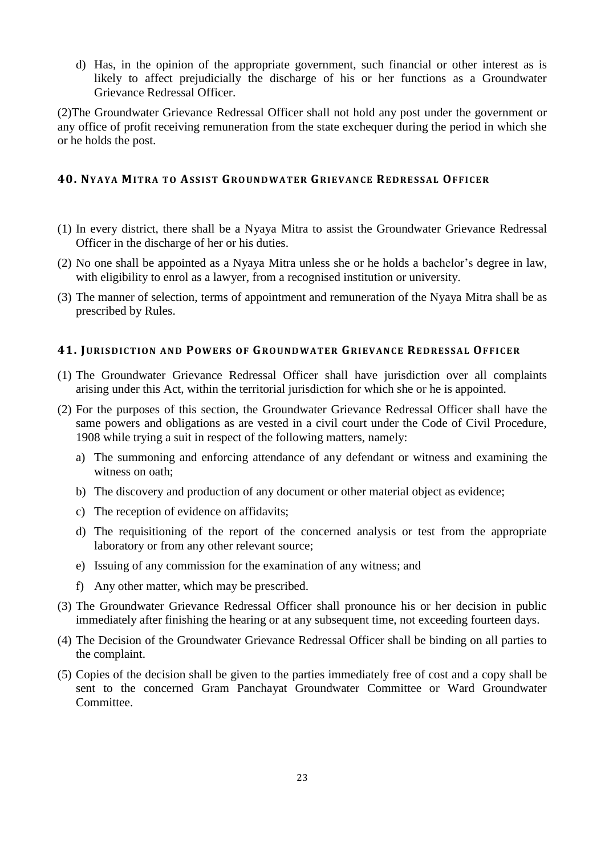d) Has, in the opinion of the appropriate government, such financial or other interest as is likely to affect prejudicially the discharge of his or her functions as a Groundwater Grievance Redressal Officer.

(2)The Groundwater Grievance Redressal Officer shall not hold any post under the government or any office of profit receiving remuneration from the state exchequer during the period in which she or he holds the post.

#### **40. NY AY A MI TRA TO ASSIST GRO UND W ATE R GRIE V AN CE RED RES SAL OFFICE R**

- (1) In every district, there shall be a Nyaya Mitra to assist the Groundwater Grievance Redressal Officer in the discharge of her or his duties.
- (2) No one shall be appointed as a Nyaya Mitra unless she or he holds a bachelor"s degree in law, with eligibility to enrol as a lawyer, from a recognised institution or university.
- (3) The manner of selection, terms of appointment and remuneration of the Nyaya Mitra shall be as prescribed by Rules.

#### **41. JURIS DIC TI ON AN D POW ERS OF GRO UND WATE R GRIEV AN CE RE DRESS AL OFFI CE R**

- (1) The Groundwater Grievance Redressal Officer shall have jurisdiction over all complaints arising under this Act, within the territorial jurisdiction for which she or he is appointed.
- (2) For the purposes of this section, the Groundwater Grievance Redressal Officer shall have the same powers and obligations as are vested in a civil court under the Code of Civil Procedure, 1908 while trying a suit in respect of the following matters, namely:
	- a) The summoning and enforcing attendance of any defendant or witness and examining the witness on oath;
	- b) The discovery and production of any document or other material object as evidence;
	- c) The reception of evidence on affidavits;
	- d) The requisitioning of the report of the concerned analysis or test from the appropriate laboratory or from any other relevant source;
	- e) Issuing of any commission for the examination of any witness; and
	- f) Any other matter, which may be prescribed.
- (3) The Groundwater Grievance Redressal Officer shall pronounce his or her decision in public immediately after finishing the hearing or at any subsequent time, not exceeding fourteen days.
- (4) The Decision of the Groundwater Grievance Redressal Officer shall be binding on all parties to the complaint.
- (5) Copies of the decision shall be given to the parties immediately free of cost and a copy shall be sent to the concerned Gram Panchayat Groundwater Committee or Ward Groundwater Committee.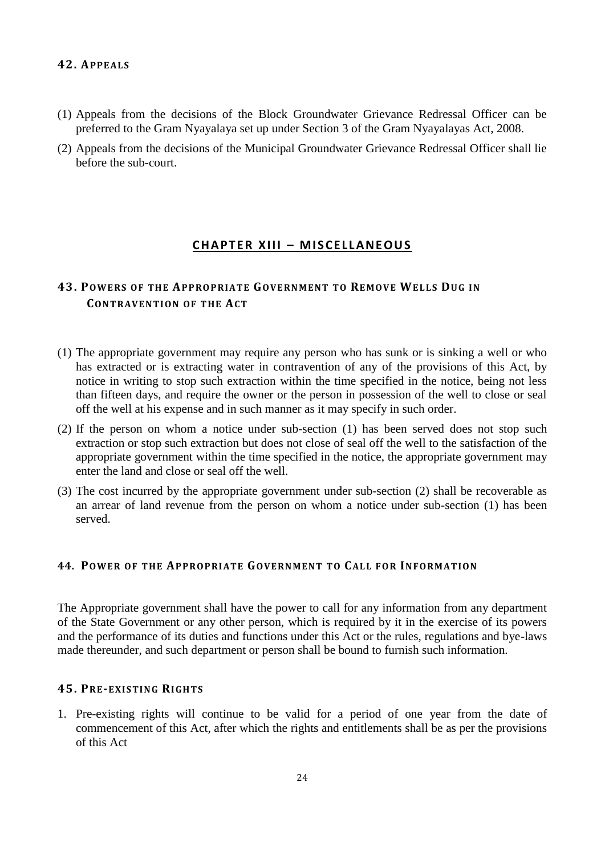#### **42. APPE ALS**

- (1) Appeals from the decisions of the Block Groundwater Grievance Redressal Officer can be preferred to the Gram Nyayalaya set up under Section 3 of the Gram Nyayalayas Act, 2008.
- (2) Appeals from the decisions of the Municipal Groundwater Grievance Redressal Officer shall lie before the sub-court.

#### **C H A P T E R X III – MI S CE L L A NE OU S**

# **43. POWE RS OF THE APPRO PRI ATE GOVE RN MENT TO REM OVE WE LLS DUG IN CONTRAVENTION OF THE ACT**

- (1) The appropriate government may require any person who has sunk or is sinking a well or who has extracted or is extracting water in contravention of any of the provisions of this Act, by notice in writing to stop such extraction within the time specified in the notice, being not less than fifteen days, and require the owner or the person in possession of the well to close or seal off the well at his expense and in such manner as it may specify in such order.
- (2) If the person on whom a notice under sub-section (1) has been served does not stop such extraction or stop such extraction but does not close of seal off the well to the satisfaction of the appropriate government within the time specified in the notice, the appropriate government may enter the land and close or seal off the well.
- (3) The cost incurred by the appropriate government under sub-section (2) shall be recoverable as an arrear of land revenue from the person on whom a notice under sub-section (1) has been served.

#### **44. POWER OF THE APPRO PRI ATE GOVE RN MENT TO CALL FO R IN FORM ATI ON**

The Appropriate government shall have the power to call for any information from any department of the State Government or any other person, which is required by it in the exercise of its powers and the performance of its duties and functions under this Act or the rules, regulations and bye-laws made thereunder, and such department or person shall be bound to furnish such information.

#### **45. PRE-EXIS TIN G RI GH TS**

1. Pre-existing rights will continue to be valid for a period of one year from the date of commencement of this Act, after which the rights and entitlements shall be as per the provisions of this Act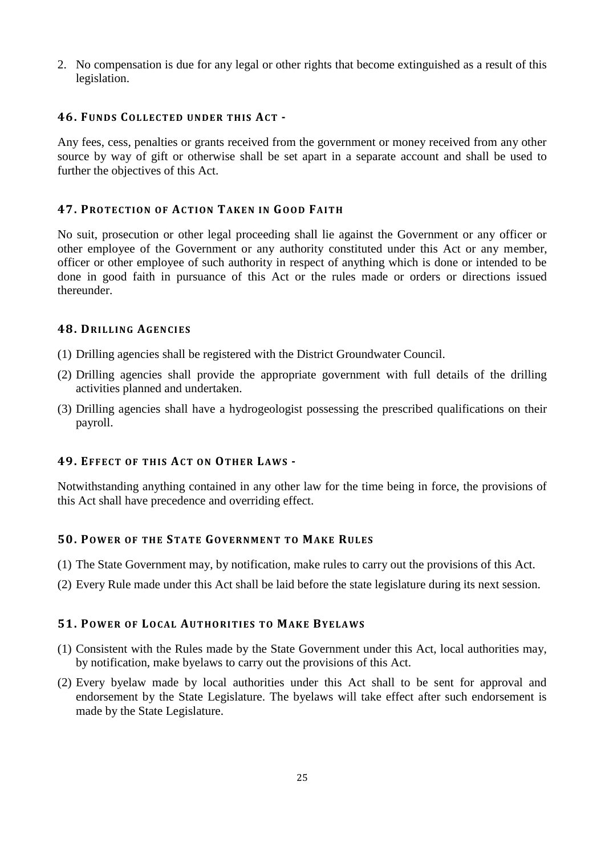2. No compensation is due for any legal or other rights that become extinguished as a result of this legislation.

#### **46. FUNDS COLLEC TE D UNDE R THIS AC T -**

Any fees, cess, penalties or grants received from the government or money received from any other source by way of gift or otherwise shall be set apart in a separate account and shall be used to further the objectives of this Act.

#### **47. PRO TE C TION OF AC TION TAKE N IN GOO D FAI TH**

No suit, prosecution or other legal proceeding shall lie against the Government or any officer or other employee of the Government or any authority constituted under this Act or any member, officer or other employee of such authority in respect of anything which is done or intended to be done in good faith in pursuance of this Act or the rules made or orders or directions issued thereunder.

#### **48. DRILLING AGEN CI ES**

- (1) Drilling agencies shall be registered with the District Groundwater Council.
- (2) Drilling agencies shall provide the appropriate government with full details of the drilling activities planned and undertaken.
- (3) Drilling agencies shall have a hydrogeologist possessing the prescribed qualifications on their payroll.

#### **49. EFFEC T OF THIS AC T ON OTHE R LAWS -**

Notwithstanding anything contained in any other law for the time being in force, the provisions of this Act shall have precedence and overriding effect.

#### **50. POWE R OF THE STATE GO VERNMENT TO MAKE RULES**

- (1) The State Government may, by notification, make rules to carry out the provisions of this Act.
- (2) Every Rule made under this Act shall be laid before the state legislature during its next session.

#### **51. POWE R OF LO C AL AUTHO RI TIES TO MAK E BYELAWS**

- (1) Consistent with the Rules made by the State Government under this Act, local authorities may, by notification, make byelaws to carry out the provisions of this Act.
- (2) Every byelaw made by local authorities under this Act shall to be sent for approval and endorsement by the State Legislature. The byelaws will take effect after such endorsement is made by the State Legislature.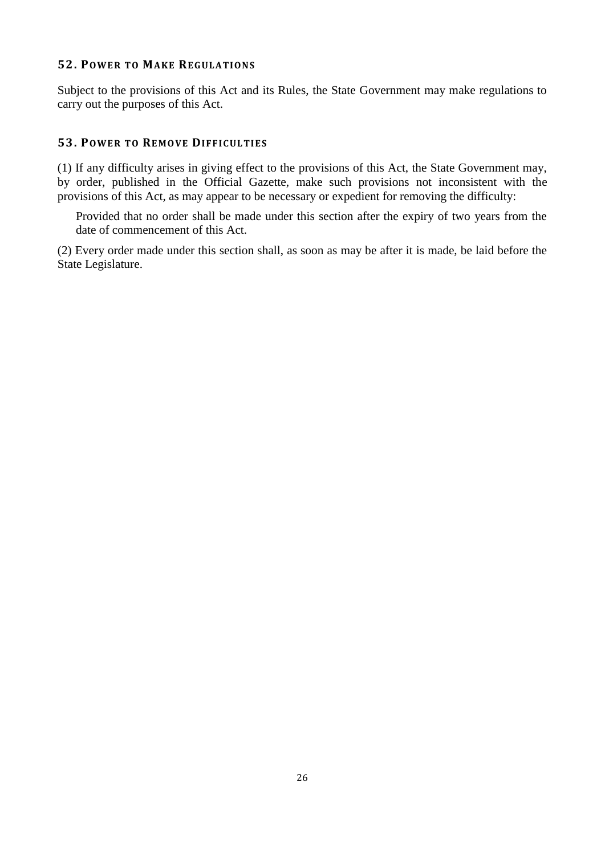#### **52. POWE R TO MAKE REG UL ATIONS**

Subject to the provisions of this Act and its Rules, the State Government may make regulations to carry out the purposes of this Act.

#### **53. POWE R TO RE MO VE DIFFI C UL TIES**

(1) If any difficulty arises in giving effect to the provisions of this Act, the State Government may, by order, published in the Official Gazette, make such provisions not inconsistent with the provisions of this Act, as may appear to be necessary or expedient for removing the difficulty:

Provided that no order shall be made under this section after the expiry of two years from the date of commencement of this Act.

(2) Every order made under this section shall, as soon as may be after it is made, be laid before the State Legislature.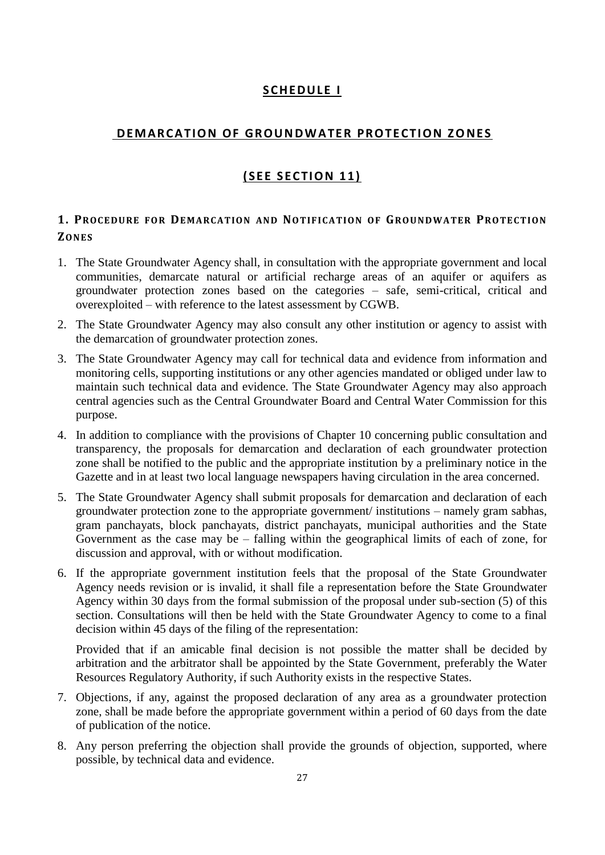# **SCHEDULE I**

# **DEMARCATION OF GROUNDWATER PROTECTION ZONES**

# **(SEE SECTION 11)**

#### **1. PROCE DURE FO R DEMARC ATION AND NO TIFI C ATION OF GRO UNDW ATER PRO TE C TIO N ZONES**

- 1. The State Groundwater Agency shall, in consultation with the appropriate government and local communities, demarcate natural or artificial recharge areas of an aquifer or aquifers as groundwater protection zones based on the categories – safe, semi-critical, critical and overexploited – with reference to the latest assessment by CGWB.
- 2. The State Groundwater Agency may also consult any other institution or agency to assist with the demarcation of groundwater protection zones.
- 3. The State Groundwater Agency may call for technical data and evidence from information and monitoring cells, supporting institutions or any other agencies mandated or obliged under law to maintain such technical data and evidence. The State Groundwater Agency may also approach central agencies such as the Central Groundwater Board and Central Water Commission for this purpose.
- 4. In addition to compliance with the provisions of Chapter 10 concerning public consultation and transparency, the proposals for demarcation and declaration of each groundwater protection zone shall be notified to the public and the appropriate institution by a preliminary notice in the Gazette and in at least two local language newspapers having circulation in the area concerned.
- 5. The State Groundwater Agency shall submit proposals for demarcation and declaration of each groundwater protection zone to the appropriate government/ institutions – namely gram sabhas, gram panchayats, block panchayats, district panchayats, municipal authorities and the State Government as the case may be – falling within the geographical limits of each of zone, for discussion and approval, with or without modification.
- 6. If the appropriate government institution feels that the proposal of the State Groundwater Agency needs revision or is invalid, it shall file a representation before the State Groundwater Agency within 30 days from the formal submission of the proposal under sub-section (5) of this section. Consultations will then be held with the State Groundwater Agency to come to a final decision within 45 days of the filing of the representation:

Provided that if an amicable final decision is not possible the matter shall be decided by arbitration and the arbitrator shall be appointed by the State Government, preferably the Water Resources Regulatory Authority, if such Authority exists in the respective States.

- 7. Objections, if any, against the proposed declaration of any area as a groundwater protection zone, shall be made before the appropriate government within a period of 60 days from the date of publication of the notice.
- 8. Any person preferring the objection shall provide the grounds of objection, supported, where possible, by technical data and evidence.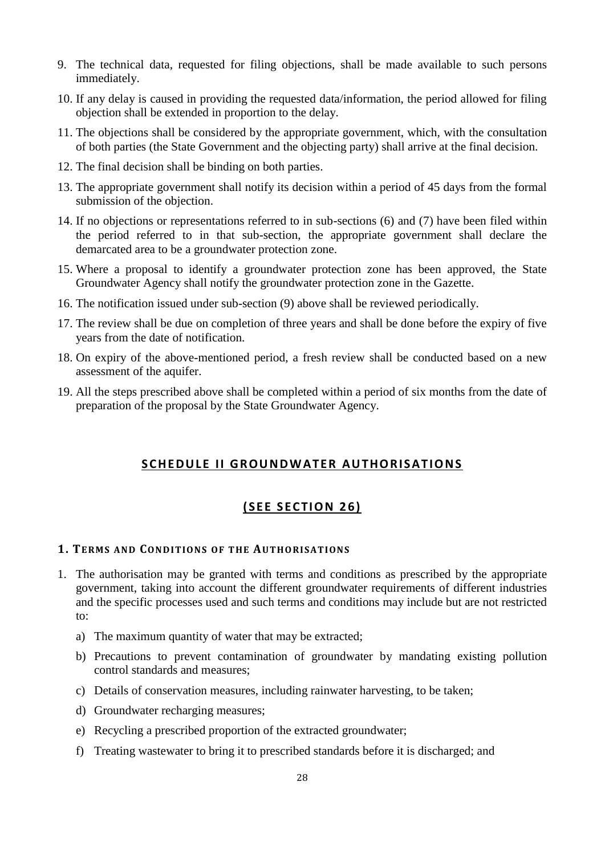- 9. The technical data, requested for filing objections, shall be made available to such persons immediately.
- 10. If any delay is caused in providing the requested data/information, the period allowed for filing objection shall be extended in proportion to the delay.
- 11. The objections shall be considered by the appropriate government, which, with the consultation of both parties (the State Government and the objecting party) shall arrive at the final decision.
- 12. The final decision shall be binding on both parties.
- 13. The appropriate government shall notify its decision within a period of 45 days from the formal submission of the objection.
- 14. If no objections or representations referred to in sub-sections (6) and (7) have been filed within the period referred to in that sub-section, the appropriate government shall declare the demarcated area to be a groundwater protection zone.
- 15. Where a proposal to identify a groundwater protection zone has been approved, the State Groundwater Agency shall notify the groundwater protection zone in the Gazette.
- 16. The notification issued under sub-section (9) above shall be reviewed periodically.
- 17. The review shall be due on completion of three years and shall be done before the expiry of five years from the date of notification.
- 18. On expiry of the above-mentioned period, a fresh review shall be conducted based on a new assessment of the aquifer.
- 19. All the steps prescribed above shall be completed within a period of six months from the date of preparation of the proposal by the State Groundwater Agency.

#### **SCHEDULE II GROUNDWATER AUTHORISATIONS**

### **( SE E S E C TI O N 26)**

#### **1. TE RMS AND CONDI TIONS OF THE AUTH O RIS ATIONS**

- 1. The authorisation may be granted with terms and conditions as prescribed by the appropriate government, taking into account the different groundwater requirements of different industries and the specific processes used and such terms and conditions may include but are not restricted to:
	- a) The maximum quantity of water that may be extracted;
	- b) Precautions to prevent contamination of groundwater by mandating existing pollution control standards and measures;
	- c) Details of conservation measures, including rainwater harvesting, to be taken;
	- d) Groundwater recharging measures;
	- e) Recycling a prescribed proportion of the extracted groundwater;
	- f) Treating wastewater to bring it to prescribed standards before it is discharged; and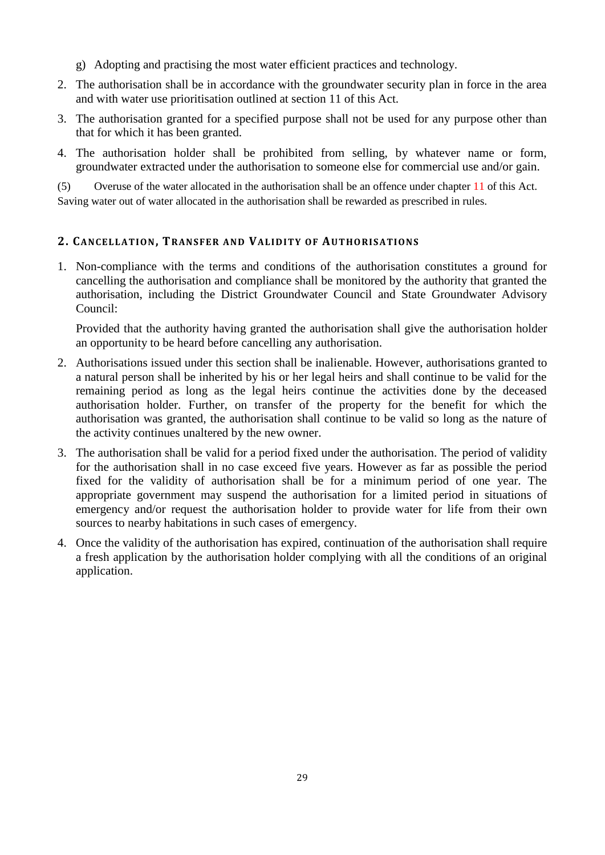- g) Adopting and practising the most water efficient practices and technology.
- 2. The authorisation shall be in accordance with the groundwater security plan in force in the area and with water use prioritisation outlined at section 11 of this Act.
- 3. The authorisation granted for a specified purpose shall not be used for any purpose other than that for which it has been granted.
- 4. The authorisation holder shall be prohibited from selling, by whatever name or form, groundwater extracted under the authorisation to someone else for commercial use and/or gain.

(5) Overuse of the water allocated in the authorisation shall be an offence under chapter 11 of this Act. Saving water out of water allocated in the authorisation shall be rewarded as prescribed in rules.

#### **2. CANCELL ATI ON, TRANSFE R AND VALIDI TY OF AUTHORIS ATIONS**

1. Non-compliance with the terms and conditions of the authorisation constitutes a ground for cancelling the authorisation and compliance shall be monitored by the authority that granted the authorisation, including the District Groundwater Council and State Groundwater Advisory Council:

Provided that the authority having granted the authorisation shall give the authorisation holder an opportunity to be heard before cancelling any authorisation.

- 2. Authorisations issued under this section shall be inalienable. However, authorisations granted to a natural person shall be inherited by his or her legal heirs and shall continue to be valid for the remaining period as long as the legal heirs continue the activities done by the deceased authorisation holder. Further, on transfer of the property for the benefit for which the authorisation was granted, the authorisation shall continue to be valid so long as the nature of the activity continues unaltered by the new owner.
- 3. The authorisation shall be valid for a period fixed under the authorisation. The period of validity for the authorisation shall in no case exceed five years. However as far as possible the period fixed for the validity of authorisation shall be for a minimum period of one year. The appropriate government may suspend the authorisation for a limited period in situations of emergency and/or request the authorisation holder to provide water for life from their own sources to nearby habitations in such cases of emergency.
- 4. Once the validity of the authorisation has expired, continuation of the authorisation shall require a fresh application by the authorisation holder complying with all the conditions of an original application.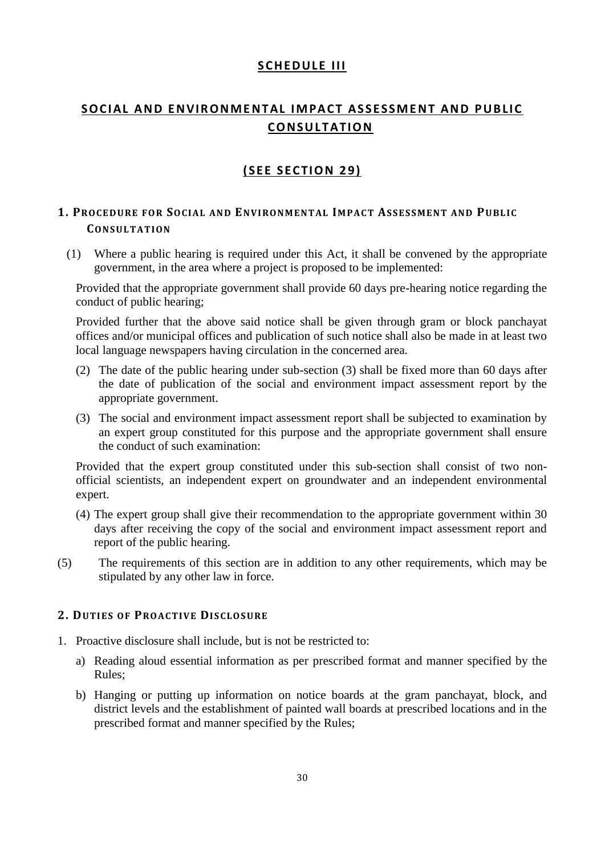### **SCHEDULE III**

# SOCIAL AND ENVIRONMENTAL IMPACT ASSESSMENT AND PUBLIC **C O N SU L T A T IO N**

# **( SE E S E C TI O N 29)**

## **1. PROCE DURE FO R SO CI AL AN D ENVI RON ME NTAL IM PAC T ASSESS MENT AND PUBLIC CONS UL TATION**

(1) Where a public hearing is required under this Act, it shall be convened by the appropriate government, in the area where a project is proposed to be implemented:

Provided that the appropriate government shall provide 60 days pre-hearing notice regarding the conduct of public hearing;

Provided further that the above said notice shall be given through gram or block panchayat offices and/or municipal offices and publication of such notice shall also be made in at least two local language newspapers having circulation in the concerned area.

- (2) The date of the public hearing under sub-section (3) shall be fixed more than 60 days after the date of publication of the social and environment impact assessment report by the appropriate government.
- (3) The social and environment impact assessment report shall be subjected to examination by an expert group constituted for this purpose and the appropriate government shall ensure the conduct of such examination:

Provided that the expert group constituted under this sub-section shall consist of two nonofficial scientists, an independent expert on groundwater and an independent environmental expert.

- (4) The expert group shall give their recommendation to the appropriate government within 30 days after receiving the copy of the social and environment impact assessment report and report of the public hearing.
- (5) The requirements of this section are in addition to any other requirements, which may be stipulated by any other law in force.

#### **2. DUTI ES OF PRO AC TIVE DIS CLOS URE**

- 1. Proactive disclosure shall include, but is not be restricted to:
	- a) Reading aloud essential information as per prescribed format and manner specified by the Rules;
	- b) Hanging or putting up information on notice boards at the gram panchayat, block, and district levels and the establishment of painted wall boards at prescribed locations and in the prescribed format and manner specified by the Rules;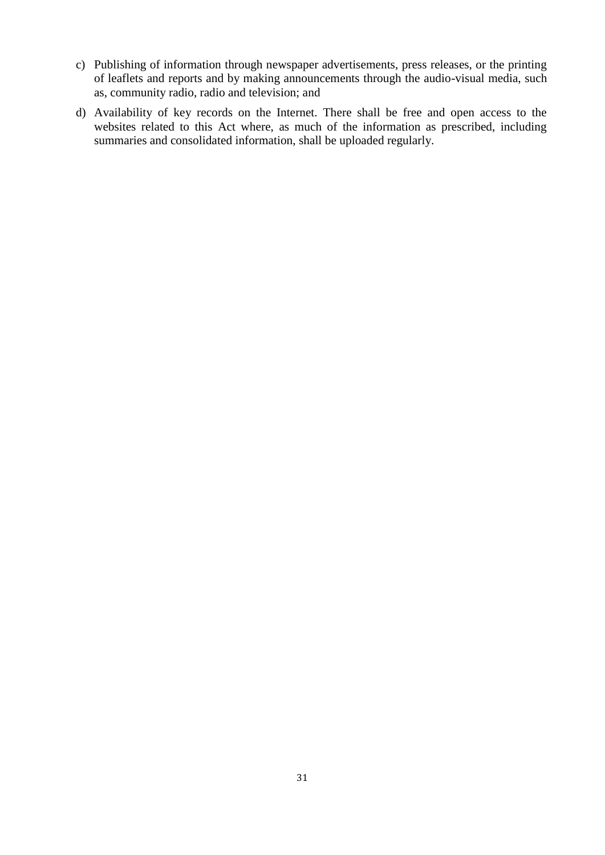- c) Publishing of information through newspaper advertisements, press releases, or the printing of leaflets and reports and by making announcements through the audio-visual media, such as, community radio, radio and television; and
- d) Availability of key records on the Internet. There shall be free and open access to the websites related to this Act where, as much of the information as prescribed, including summaries and consolidated information, shall be uploaded regularly.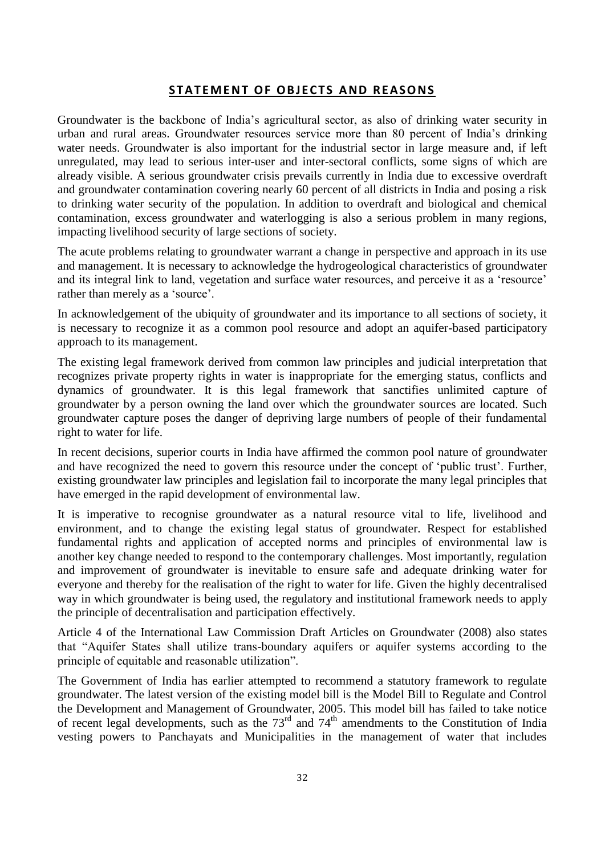#### **STATEMENT OF OBJECTS AND REASONS**

Groundwater is the backbone of India"s agricultural sector, as also of drinking water security in urban and rural areas. Groundwater resources service more than 80 percent of India"s drinking water needs. Groundwater is also important for the industrial sector in large measure and, if left unregulated, may lead to serious inter-user and inter-sectoral conflicts, some signs of which are already visible. A serious groundwater crisis prevails currently in India due to excessive overdraft and groundwater contamination covering nearly 60 percent of all districts in India and posing a risk to drinking water security of the population. In addition to overdraft and biological and chemical contamination, excess groundwater and waterlogging is also a serious problem in many regions, impacting livelihood security of large sections of society.

The acute problems relating to groundwater warrant a change in perspective and approach in its use and management. It is necessary to acknowledge the hydrogeological characteristics of groundwater and its integral link to land, vegetation and surface water resources, and perceive it as a "resource" rather than merely as a 'source'.

In acknowledgement of the ubiquity of groundwater and its importance to all sections of society, it is necessary to recognize it as a common pool resource and adopt an aquifer-based participatory approach to its management.

The existing legal framework derived from common law principles and judicial interpretation that recognizes private property rights in water is inappropriate for the emerging status, conflicts and dynamics of groundwater. It is this legal framework that sanctifies unlimited capture of groundwater by a person owning the land over which the groundwater sources are located. Such groundwater capture poses the danger of depriving large numbers of people of their fundamental right to water for life.

In recent decisions, superior courts in India have affirmed the common pool nature of groundwater and have recognized the need to govern this resource under the concept of 'public trust'. Further, existing groundwater law principles and legislation fail to incorporate the many legal principles that have emerged in the rapid development of environmental law.

It is imperative to recognise groundwater as a natural resource vital to life, livelihood and environment, and to change the existing legal status of groundwater. Respect for established fundamental rights and application of accepted norms and principles of environmental law is another key change needed to respond to the contemporary challenges. Most importantly, regulation and improvement of groundwater is inevitable to ensure safe and adequate drinking water for everyone and thereby for the realisation of the right to water for life. Given the highly decentralised way in which groundwater is being used, the regulatory and institutional framework needs to apply the principle of decentralisation and participation effectively.

Article 4 of the International Law Commission Draft Articles on Groundwater (2008) also states that "Aquifer States shall utilize trans-boundary aquifers or aquifer systems according to the principle of equitable and reasonable utilization".

The Government of India has earlier attempted to recommend a statutory framework to regulate groundwater. The latest version of the existing model bill is the Model Bill to Regulate and Control the Development and Management of Groundwater, 2005. This model bill has failed to take notice of recent legal developments, such as the  $73<sup>rd</sup>$  and  $74<sup>th</sup>$  amendments to the Constitution of India vesting powers to Panchayats and Municipalities in the management of water that includes